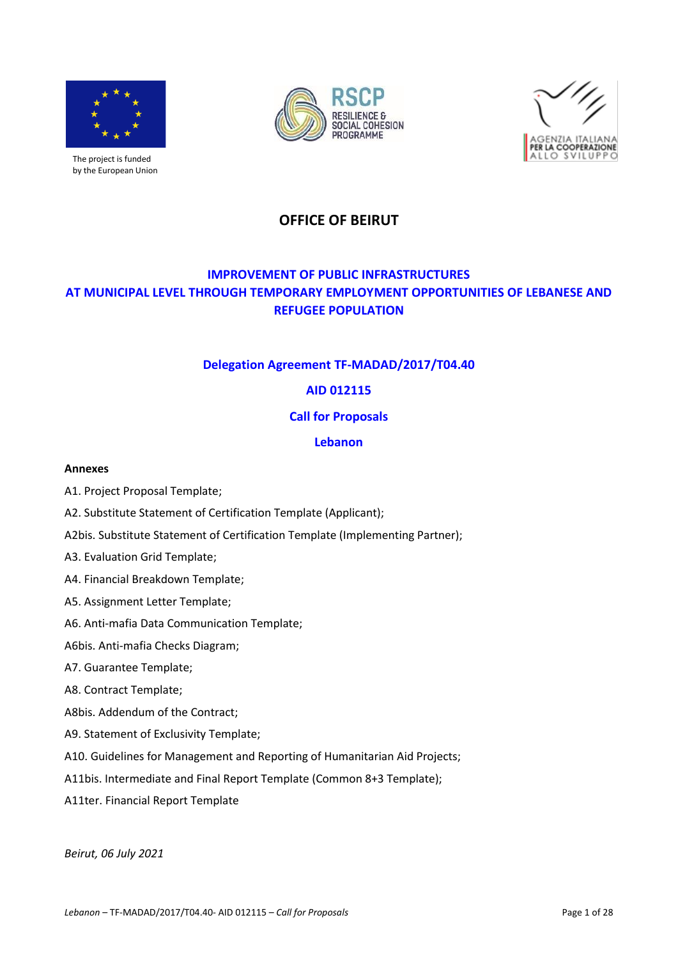

The project is funded by the European Union





# **OFFICE OF BEIRUT**

# **IMPROVEMENT OF PUBLIC INFRASTRUCTURES AT MUNICIPAL LEVEL THROUGH TEMPORARY EMPLOYMENT OPPORTUNITIES OF LEBANESE AND REFUGEE POPULATION**

#### **Delegation Agreement TF-MADAD/2017/T04.40**

## **AID 012115**

#### **Call for Proposals**

#### **Lebanon**

#### **Annexes**

- A1. Project Proposal Template;
- A2. Substitute Statement of Certification Template (Applicant);
- A2bis. Substitute Statement of Certification Template (Implementing Partner);
- A3. Evaluation Grid Template;
- A4. Financial Breakdown Template;
- A5. Assignment Letter Template;
- A6. Anti-mafia Data Communication Template;
- A6bis. Anti-mafia Checks Diagram;
- A7. Guarantee Template;
- A8. Contract Template;
- A8bis. Addendum of the Contract;
- A9. Statement of Exclusivity Template;
- A10. Guidelines for Management and Reporting of Humanitarian Aid Projects;
- A11bis. Intermediate and Final Report Template (Common 8+3 Template);
- A11ter. Financial Report Template

*Beirut, 06 July 2021*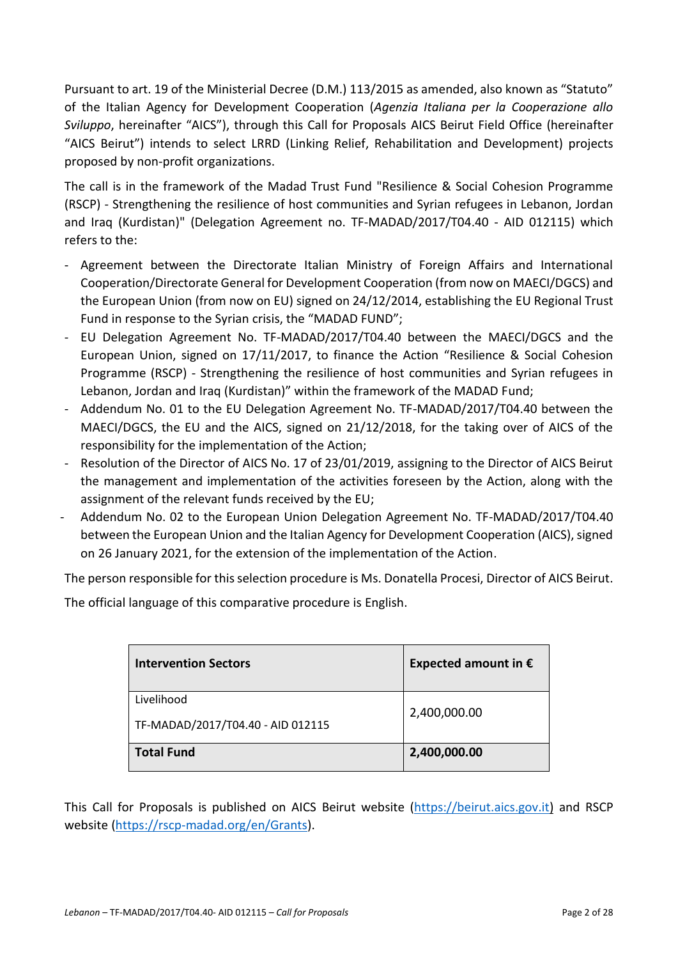Pursuant to art. 19 of the Ministerial Decree (D.M.) 113/2015 as amended, also known as "Statuto" of the Italian Agency for Development Cooperation (*Agenzia Italiana per la Cooperazione allo Sviluppo*, hereinafter "AICS"), through this Call for Proposals AICS Beirut Field Office (hereinafter "AICS Beirut") intends to select LRRD (Linking Relief, Rehabilitation and Development) projects proposed by non-profit organizations.

The call is in the framework of the Madad Trust Fund "Resilience & Social Cohesion Programme (RSCP) - Strengthening the resilience of host communities and Syrian refugees in Lebanon, Jordan and Iraq (Kurdistan)" (Delegation Agreement no. TF-MADAD/2017/T04.40 - AID 012115) which refers to the:

- Agreement between the Directorate Italian Ministry of Foreign Affairs and International Cooperation/Directorate General for Development Cooperation (from now on MAECI/DGCS) and the European Union (from now on EU) signed on 24/12/2014, establishing the EU Regional Trust Fund in response to the Syrian crisis, the "MADAD FUND";
- EU Delegation Agreement No. TF-MADAD/2017/T04.40 between the MAECI/DGCS and the European Union, signed on 17/11/2017, to finance the Action "Resilience & Social Cohesion Programme (RSCP) - Strengthening the resilience of host communities and Syrian refugees in Lebanon, Jordan and Iraq (Kurdistan)" within the framework of the MADAD Fund;
- Addendum No. 01 to the EU Delegation Agreement No. TF-MADAD/2017/T04.40 between the MAECI/DGCS, the EU and the AICS, signed on 21/12/2018, for the taking over of AICS of the responsibility for the implementation of the Action;
- Resolution of the Director of AICS No. 17 of 23/01/2019, assigning to the Director of AICS Beirut the management and implementation of the activities foreseen by the Action, along with the assignment of the relevant funds received by the EU;
- Addendum No. 02 to the European Union Delegation Agreement No. TF-MADAD/2017/T04.40 between the European Union and the Italian Agency for Development Cooperation (AICS), signed on 26 January 2021, for the extension of the implementation of the Action.

The person responsible for this selection procedure is Ms. Donatella Procesi, Director of AICS Beirut.

The official language of this comparative procedure is English.

| <b>Intervention Sectors</b>                     | Expected amount in $\epsilon$ |
|-------------------------------------------------|-------------------------------|
| Livelihood<br>TF-MADAD/2017/T04.40 - AID 012115 | 2,400,000.00                  |
| <b>Total Fund</b>                               | 2,400,000.00                  |

This Call for Proposals is published on AICS Beirut website [\(https://beirut.aics.gov.it\)](https://beirut.aics.gov.it/) and RSCP website [\(https://rscp-madad.org/en/Grants\)](https://rscp-madad.org/en/Grants).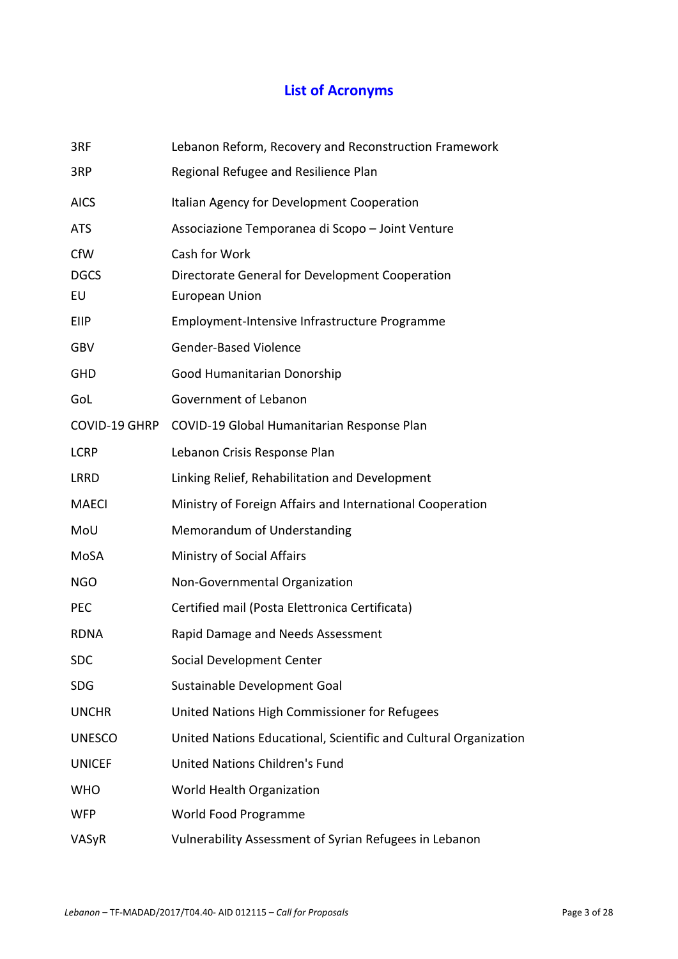# **List of Acronyms**

| 3RF           | Lebanon Reform, Recovery and Reconstruction Framework            |
|---------------|------------------------------------------------------------------|
| 3RP           | Regional Refugee and Resilience Plan                             |
| <b>AICS</b>   | Italian Agency for Development Cooperation                       |
| <b>ATS</b>    | Associazione Temporanea di Scopo - Joint Venture                 |
| CfW           | Cash for Work                                                    |
| <b>DGCS</b>   | Directorate General for Development Cooperation                  |
| EU            | <b>European Union</b>                                            |
| EIIP          | Employment-Intensive Infrastructure Programme                    |
| GBV           | <b>Gender-Based Violence</b>                                     |
| <b>GHD</b>    | Good Humanitarian Donorship                                      |
| GoL           | Government of Lebanon                                            |
|               | COVID-19 GHRP COVID-19 Global Humanitarian Response Plan         |
| <b>LCRP</b>   | Lebanon Crisis Response Plan                                     |
| <b>LRRD</b>   | Linking Relief, Rehabilitation and Development                   |
| <b>MAECI</b>  | Ministry of Foreign Affairs and International Cooperation        |
| MoU           | Memorandum of Understanding                                      |
| MoSA          | <b>Ministry of Social Affairs</b>                                |
| <b>NGO</b>    | Non-Governmental Organization                                    |
| <b>PEC</b>    | Certified mail (Posta Elettronica Certificata)                   |
| <b>RDNA</b>   | Rapid Damage and Needs Assessment                                |
| <b>SDC</b>    | Social Development Center                                        |
| <b>SDG</b>    | Sustainable Development Goal                                     |
| <b>UNCHR</b>  | United Nations High Commissioner for Refugees                    |
| <b>UNESCO</b> | United Nations Educational, Scientific and Cultural Organization |
| <b>UNICEF</b> | United Nations Children's Fund                                   |
| <b>WHO</b>    | World Health Organization                                        |
| <b>WFP</b>    | World Food Programme                                             |
| VASyR         | Vulnerability Assessment of Syrian Refugees in Lebanon           |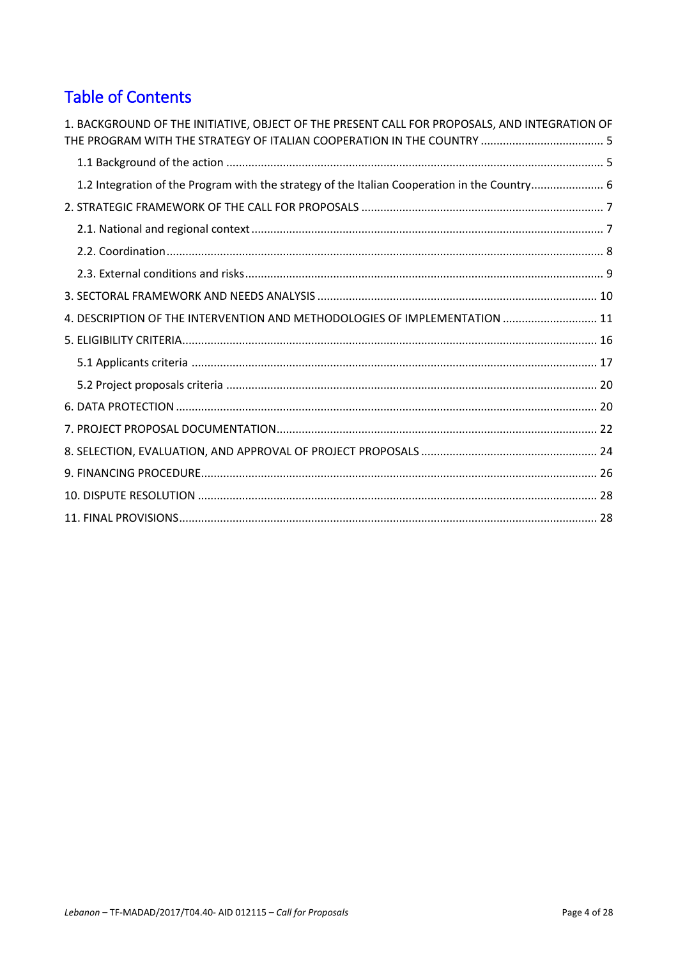# **Table of Contents**

| 1. BACKGROUND OF THE INITIATIVE, OBJECT OF THE PRESENT CALL FOR PROPOSALS, AND INTEGRATION OF |
|-----------------------------------------------------------------------------------------------|
|                                                                                               |
| 1.2 Integration of the Program with the strategy of the Italian Cooperation in the Country 6  |
|                                                                                               |
|                                                                                               |
|                                                                                               |
|                                                                                               |
|                                                                                               |
| 4. DESCRIPTION OF THE INTERVENTION AND METHODOLOGIES OF IMPLEMENTATION  11                    |
|                                                                                               |
|                                                                                               |
|                                                                                               |
|                                                                                               |
|                                                                                               |
|                                                                                               |
|                                                                                               |
|                                                                                               |
|                                                                                               |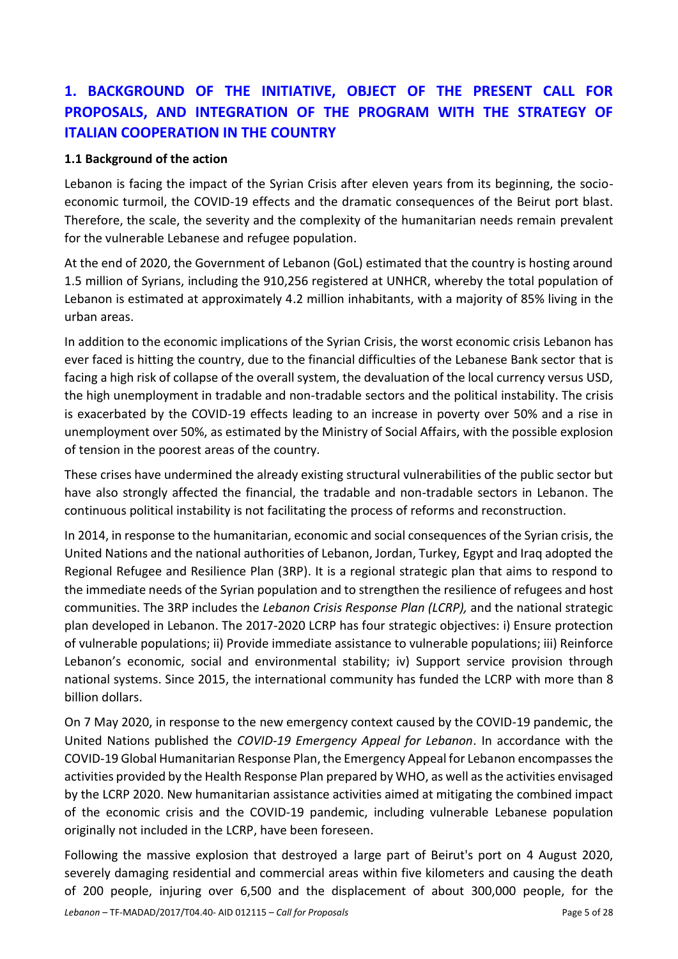# <span id="page-4-0"></span>**1. BACKGROUND OF THE INITIATIVE, OBJECT OF THE PRESENT CALL FOR PROPOSALS, AND INTEGRATION OF THE PROGRAM WITH THE STRATEGY OF ITALIAN COOPERATION IN THE COUNTRY**

### <span id="page-4-1"></span>**1.1 Background of the action**

Lebanon is facing the impact of the Syrian Crisis after eleven years from its beginning, the socioeconomic turmoil, the COVID-19 effects and the dramatic consequences of the Beirut port blast. Therefore, the scale, the severity and the complexity of the humanitarian needs remain prevalent for the vulnerable Lebanese and refugee population.

At the end of 2020, the Government of Lebanon (GoL) estimated that the country is hosting around 1.5 million of Syrians, including the 910,256 registered at UNHCR, whereby the total population of Lebanon is estimated at approximately 4.2 million inhabitants, with a majority of 85% living in the urban areas.

In addition to the economic implications of the Syrian Crisis, the worst economic crisis Lebanon has ever faced is hitting the country, due to the financial difficulties of the Lebanese Bank sector that is facing a high risk of collapse of the overall system, the devaluation of the local currency versus USD, the high unemployment in tradable and non-tradable sectors and the political instability. The crisis is exacerbated by the COVID-19 effects leading to an increase in poverty over 50% and a rise in unemployment over 50%, as estimated by the Ministry of Social Affairs, with the possible explosion of tension in the poorest areas of the country.

These crises have undermined the already existing structural vulnerabilities of the public sector but have also strongly affected the financial, the tradable and non-tradable sectors in Lebanon. The continuous political instability is not facilitating the process of reforms and reconstruction.

In 2014, in response to the humanitarian, economic and social consequences of the Syrian crisis, the United Nations and the national authorities of Lebanon, Jordan, Turkey, Egypt and Iraq adopted the Regional Refugee and Resilience Plan (3RP). It is a regional strategic plan that aims to respond to the immediate needs of the Syrian population and to strengthen the resilience of refugees and host communities. The 3RP includes the *Lebanon Crisis Response Plan (LCRP),* and the national strategic plan developed in Lebanon. The 2017-2020 LCRP has four strategic objectives: i) Ensure protection of vulnerable populations; ii) Provide immediate assistance to vulnerable populations; iii) Reinforce Lebanon's economic, social and environmental stability; iv) Support service provision through national systems. Since 2015, the international community has funded the LCRP with more than 8 billion dollars.

On 7 May 2020, in response to the new emergency context caused by the COVID-19 pandemic, the United Nations published the *COVID-19 Emergency Appeal for Lebanon*. In accordance with the COVID-19 Global Humanitarian Response Plan, the Emergency Appeal for Lebanon encompasses the activities provided by the Health Response Plan prepared by WHO, as well as the activities envisaged by the LCRP 2020. New humanitarian assistance activities aimed at mitigating the combined impact of the economic crisis and the COVID-19 pandemic, including vulnerable Lebanese population originally not included in the LCRP, have been foreseen.

Following the massive explosion that destroyed a large part of Beirut's port on 4 August 2020, severely damaging residential and commercial areas within five kilometers and causing the death of 200 people, injuring over 6,500 and the displacement of about 300,000 people, for the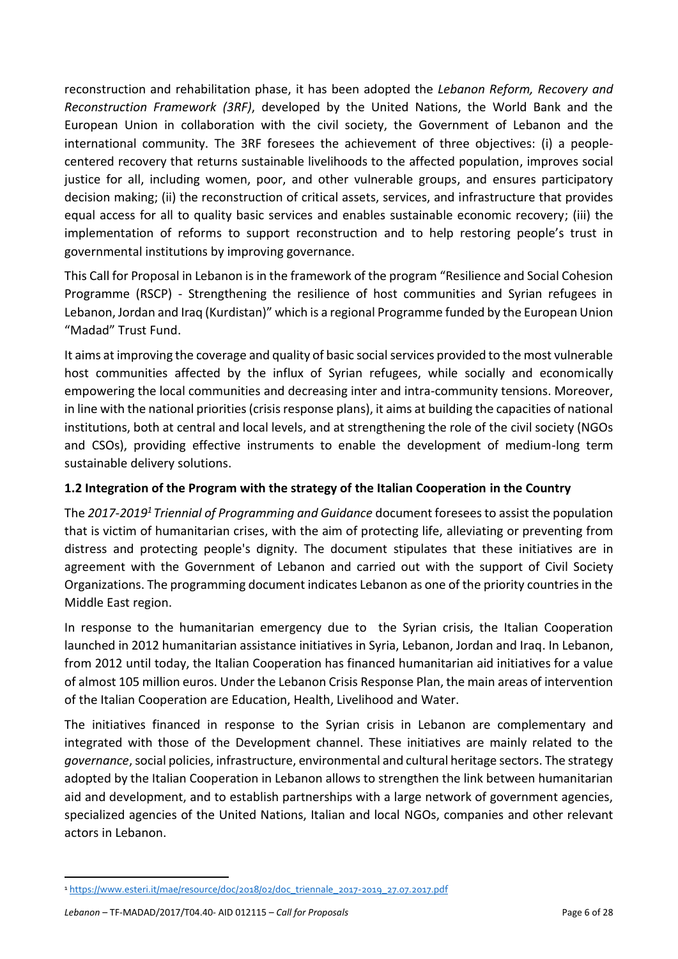reconstruction and rehabilitation phase, it has been adopted the *Lebanon Reform, Recovery and Reconstruction Framework (3RF)*, developed by the United Nations, the World Bank and the European Union in collaboration with the civil society, the Government of Lebanon and the international community. The 3RF foresees the achievement of three objectives: (i) a peoplecentered recovery that returns sustainable livelihoods to the affected population, improves social justice for all, including women, poor, and other vulnerable groups, and ensures participatory decision making; (ii) the reconstruction of critical assets, services, and infrastructure that provides equal access for all to quality basic services and enables sustainable economic recovery; (iii) the implementation of reforms to support reconstruction and to help restoring people's trust in governmental institutions by improving governance.

This Call for Proposal in Lebanon is in the framework of the program "Resilience and Social Cohesion Programme (RSCP) - Strengthening the resilience of host communities and Syrian refugees in Lebanon, Jordan and Iraq (Kurdistan)" which is a regional Programme funded by the European Union "Madad" Trust Fund.

It aims at improving the coverage and quality of basic social services provided to the most vulnerable host communities affected by the influx of Syrian refugees, while socially and economically empowering the local communities and decreasing inter and intra-community tensions. Moreover, in line with the national priorities (crisis response plans), it aims at building the capacities of national institutions, both at central and local levels, and at strengthening the role of the civil society (NGOs and CSOs), providing effective instruments to enable the development of medium-long term sustainable delivery solutions.

## <span id="page-5-0"></span>**1.2 Integration of the Program with the strategy of the Italian Cooperation in the Country**

The *2017-2019<sup>1</sup> Triennial of Programming and Guidance* document foresees to assist the population that is victim of humanitarian crises, with the aim of protecting life, alleviating or preventing from distress and protecting people's dignity. The document stipulates that these initiatives are in agreement with the Government of Lebanon and carried out with the support of Civil Society Organizations. The programming document indicates Lebanon as one of the priority countries in the Middle East region.

In response to the humanitarian emergency due to the Syrian crisis, the Italian Cooperation launched in 2012 humanitarian assistance initiatives in Syria, Lebanon, Jordan and Iraq. In Lebanon, from 2012 until today, the Italian Cooperation has financed humanitarian aid initiatives for a value of almost 105 million euros. Under the Lebanon Crisis Response Plan, the main areas of intervention of the Italian Cooperation are Education, Health, Livelihood and Water.

The initiatives financed in response to the Syrian crisis in Lebanon are complementary and integrated with those of the Development channel. These initiatives are mainly related to the *governance*, social policies, infrastructure, environmental and cultural heritage sectors. The strategy adopted by the Italian Cooperation in Lebanon allows to strengthen the link between humanitarian aid and development, and to establish partnerships with a large network of government agencies, specialized agencies of the United Nations, Italian and local NGOs, companies and other relevant actors in Lebanon.

**.** 

<sup>1</sup> [https://www.esteri.it/mae/resource/doc/2018/02/doc\\_triennale\\_2017-2019\\_27.07.2017.pdf](https://www.esteri.it/mae/resource/doc/2018/02/doc_triennale_2017-2019_27.07.2017.pdf)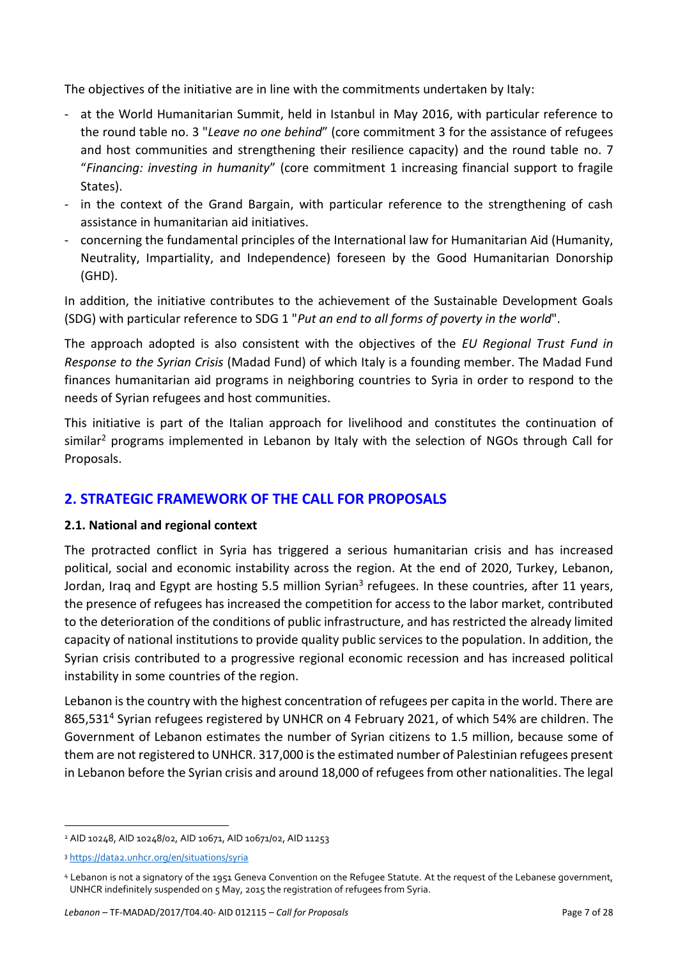The objectives of the initiative are in line with the commitments undertaken by Italy:

- at the World Humanitarian Summit, held in Istanbul in May 2016, with particular reference to the round table no. 3 "*Leave no one behind*" (core commitment 3 for the assistance of refugees and host communities and strengthening their resilience capacity) and the round table no. 7 "*Financing: investing in humanity*" (core commitment 1 increasing financial support to fragile States).
- in the context of the Grand Bargain, with particular reference to the strengthening of cash assistance in humanitarian aid initiatives.
- concerning the fundamental principles of the International law for Humanitarian Aid (Humanity, Neutrality, Impartiality, and Independence) foreseen by the Good Humanitarian Donorship (GHD).

In addition, the initiative contributes to the achievement of the Sustainable Development Goals (SDG) with particular reference to SDG 1 "*Put an end to all forms of poverty in the world*".

The approach adopted is also consistent with the objectives of the *EU Regional Trust Fund in Response to the Syrian Crisis* (Madad Fund) of which Italy is a founding member. The Madad Fund finances humanitarian aid programs in neighboring countries to Syria in order to respond to the needs of Syrian refugees and host communities.

This initiative is part of the Italian approach for livelihood and constitutes the continuation of similar<sup>2</sup> programs implemented in Lebanon by Italy with the selection of NGOs through Call for Proposals.

## <span id="page-6-0"></span>**2. STRATEGIC FRAMEWORK OF THE CALL FOR PROPOSALS**

## <span id="page-6-1"></span>**2.1. National and regional context**

The protracted conflict in Syria has triggered a serious humanitarian crisis and has increased political, social and economic instability across the region. At the end of 2020, Turkey, Lebanon, Jordan, Iraq and Egypt are hosting 5.5 million Syrian<sup>3</sup> refugees. In these countries, after 11 years, the presence of refugees has increased the competition for access to the labor market, contributed to the deterioration of the conditions of public infrastructure, and has restricted the already limited capacity of national institutions to provide quality public services to the population. In addition, the Syrian crisis contributed to a progressive regional economic recession and has increased political instability in some countries of the region.

Lebanon is the country with the highest concentration of refugees per capita in the world. There are 865,531<sup>4</sup> Syrian refugees registered by UNHCR on 4 February 2021, of which 54% are children. The Government of Lebanon estimates the number of Syrian citizens to 1.5 million, because some of them are not registered to UNHCR. 317,000 is the estimated number of Palestinian refugees present in Lebanon before the Syrian crisis and around 18,000 of refugees from other nationalities. The legal

**.** 

<sup>2</sup> AID 10248, AID 10248/02, AID 10671, AID 10671/02, AID 11253

<sup>3</sup> <https://data2.unhcr.org/en/situations/syria>

<sup>4</sup> Lebanon is not a signatory of the 1951 Geneva Convention on the Refugee Statute. At the request of the Lebanese government, UNHCR indefinitely suspended on 5 May, 2015 the registration of refugees from Syria.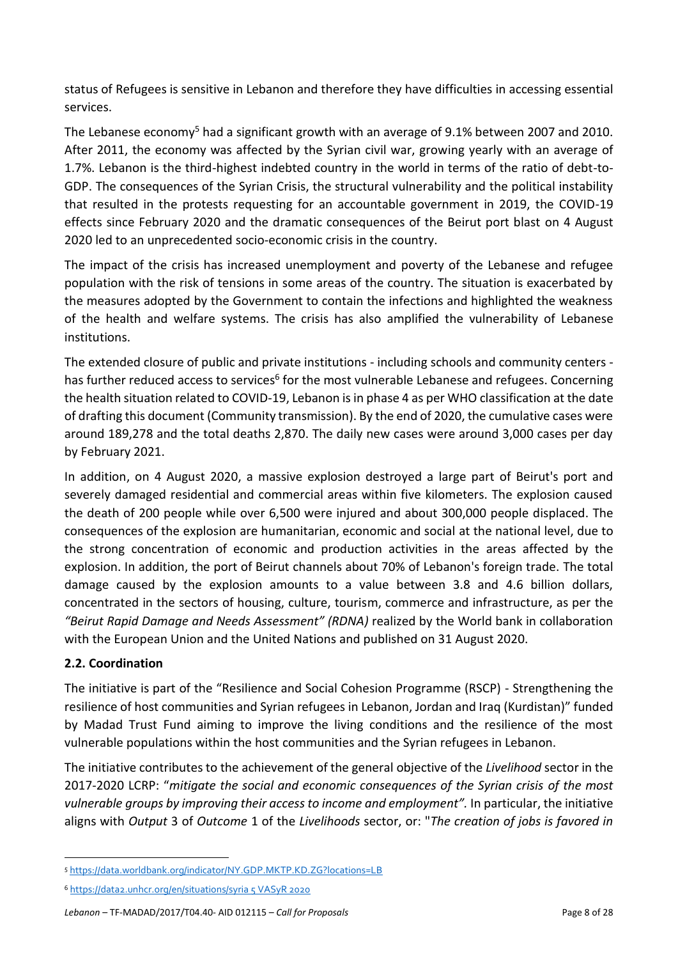status of Refugees is sensitive in Lebanon and therefore they have difficulties in accessing essential services.

The Lebanese economy<sup>5</sup> had a significant growth with an average of 9.1% between 2007 and 2010. After 2011, the economy was affected by the Syrian civil war, growing yearly with an average of 1.7%. Lebanon is the third-highest indebted country in the world in terms of the ratio of debt-to-GDP. The consequences of the Syrian Crisis, the structural vulnerability and the political instability that resulted in the protests requesting for an accountable government in 2019, the COVID-19 effects since February 2020 and the dramatic consequences of the Beirut port blast on 4 August 2020 led to an unprecedented socio-economic crisis in the country.

The impact of the crisis has increased unemployment and poverty of the Lebanese and refugee population with the risk of tensions in some areas of the country. The situation is exacerbated by the measures adopted by the Government to contain the infections and highlighted the weakness of the health and welfare systems. The crisis has also amplified the vulnerability of Lebanese institutions.

The extended closure of public and private institutions - including schools and community centers has further reduced access to services<sup>6</sup> for the most vulnerable Lebanese and refugees. Concerning the health situation related to COVID-19, Lebanon is in phase 4 as per WHO classification at the date of drafting this document (Community transmission). By the end of 2020, the cumulative cases were around 189,278 and the total deaths 2,870. The daily new cases were around 3,000 cases per day by February 2021.

In addition, on 4 August 2020, a massive explosion destroyed a large part of Beirut's port and severely damaged residential and commercial areas within five kilometers. The explosion caused the death of 200 people while over 6,500 were injured and about 300,000 people displaced. The consequences of the explosion are humanitarian, economic and social at the national level, due to the strong concentration of economic and production activities in the areas affected by the explosion. In addition, the port of Beirut channels about 70% of Lebanon's foreign trade. The total damage caused by the explosion amounts to a value between 3.8 and 4.6 billion dollars, concentrated in the sectors of housing, culture, tourism, commerce and infrastructure, as per the *"Beirut Rapid Damage and Needs Assessment" (RDNA)* realized by the World bank in collaboration with the European Union and the United Nations and published on 31 August 2020.

## <span id="page-7-0"></span>**2.2. Coordination**

**.** 

The initiative is part of the "Resilience and Social Cohesion Programme (RSCP) - Strengthening the resilience of host communities and Syrian refugees in Lebanon, Jordan and Iraq (Kurdistan)" funded by Madad Trust Fund aiming to improve the living conditions and the resilience of the most vulnerable populations within the host communities and the Syrian refugees in Lebanon.

The initiative contributes to the achievement of the general objective of the *Livelihood* sector in the 2017-2020 LCRP: "*mitigate the social and economic consequences of the Syrian crisis of the most vulnerable groups by improving their access to income and employment".* In particular, the initiative aligns with *Output* 3 of *Outcome* 1 of the *Livelihoods* sector, or: "*The creation of jobs is favored in* 

<sup>5</sup> <https://data.worldbank.org/indicator/NY.GDP.MKTP.KD.ZG?locations=LB>

<sup>6</sup> [https://data2.unhcr.org/en/situations/syria 5 VASyR 2020](https://data2.unhcr.org/en/situations/syria%205%20VASyR%202020)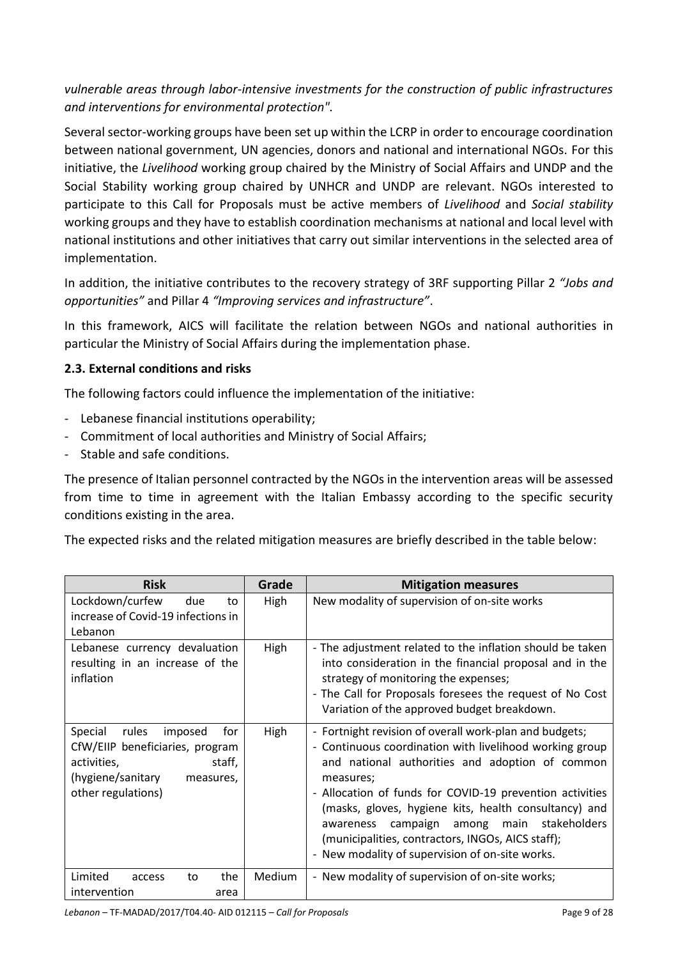*vulnerable areas through labor-intensive investments for the construction of public infrastructures and interventions for environmental protection".*

Several sector-working groups have been set up within the LCRP in order to encourage coordination between national government, UN agencies, donors and national and international NGOs. For this initiative, the *Livelihood* working group chaired by the Ministry of Social Affairs and UNDP and the Social Stability working group chaired by UNHCR and UNDP are relevant. NGOs interested to participate to this Call for Proposals must be active members of *Livelihood* and *Social stability* working groups and they have to establish coordination mechanisms at national and local level with national institutions and other initiatives that carry out similar interventions in the selected area of implementation.

In addition, the initiative contributes to the recovery strategy of 3RF supporting Pillar 2 *"Jobs and opportunities"* and Pillar 4 *"Improving services and infrastructure"*.

In this framework, AICS will facilitate the relation between NGOs and national authorities in particular the Ministry of Social Affairs during the implementation phase.

## <span id="page-8-0"></span>**2.3. External conditions and risks**

The following factors could influence the implementation of the initiative:

- Lebanese financial institutions operability;
- Commitment of local authorities and Ministry of Social Affairs;
- Stable and safe conditions.

The presence of Italian personnel contracted by the NGOs in the intervention areas will be assessed from time to time in agreement with the Italian Embassy according to the specific security conditions existing in the area.

The expected risks and the related mitigation measures are briefly described in the table below:

| <b>Risk</b>                                                                                                                                            | Grade  | <b>Mitigation measures</b>                                                                                                                                                                                                                                                                                                                                                                                                                                      |
|--------------------------------------------------------------------------------------------------------------------------------------------------------|--------|-----------------------------------------------------------------------------------------------------------------------------------------------------------------------------------------------------------------------------------------------------------------------------------------------------------------------------------------------------------------------------------------------------------------------------------------------------------------|
| Lockdown/curfew<br>due<br>to<br>increase of Covid-19 infections in<br>Lebanon                                                                          | High   | New modality of supervision of on-site works                                                                                                                                                                                                                                                                                                                                                                                                                    |
| Lebanese currency devaluation<br>resulting in an increase of the<br>inflation                                                                          | High   | - The adjustment related to the inflation should be taken<br>into consideration in the financial proposal and in the<br>strategy of monitoring the expenses;<br>- The Call for Proposals foresees the request of No Cost<br>Variation of the approved budget breakdown.                                                                                                                                                                                         |
| Special<br>rules<br>imposed<br>for<br>CfW/EIIP beneficiaries, program<br>activities,<br>staff,<br>(hygiene/sanitary<br>measures,<br>other regulations) | High   | - Fortnight revision of overall work-plan and budgets;<br>- Continuous coordination with livelihood working group<br>and national authorities and adoption of common<br>measures;<br>- Allocation of funds for COVID-19 prevention activities<br>(masks, gloves, hygiene kits, health consultancy) and<br>campaign among main stakeholders<br>awareness<br>(municipalities, contractors, INGOs, AICS staff);<br>- New modality of supervision of on-site works. |
| Limited<br>the<br>access<br>to<br>intervention<br>area                                                                                                 | Medium | - New modality of supervision of on-site works;                                                                                                                                                                                                                                                                                                                                                                                                                 |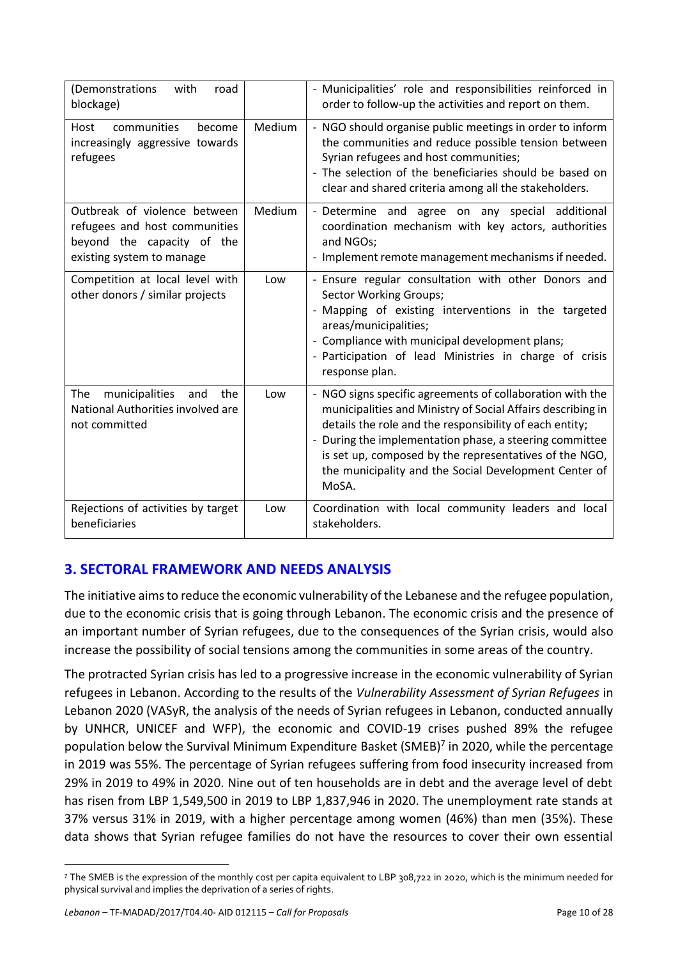| (Demonstrations<br>with<br>road<br>blockage)                                                                             |        | - Municipalities' role and responsibilities reinforced in<br>order to follow-up the activities and report on them.                                                                                                                                                                                                                                                         |
|--------------------------------------------------------------------------------------------------------------------------|--------|----------------------------------------------------------------------------------------------------------------------------------------------------------------------------------------------------------------------------------------------------------------------------------------------------------------------------------------------------------------------------|
| communities<br>Host<br>become<br>increasingly aggressive towards<br>refugees                                             | Medium | - NGO should organise public meetings in order to inform<br>the communities and reduce possible tension between<br>Syrian refugees and host communities;<br>- The selection of the beneficiaries should be based on<br>clear and shared criteria among all the stakeholders.                                                                                               |
| Outbreak of violence between<br>refugees and host communities<br>beyond the capacity of the<br>existing system to manage | Medium | - Determine and agree on any special additional<br>coordination mechanism with key actors, authorities<br>and NGOs;<br>- Implement remote management mechanisms if needed.                                                                                                                                                                                                 |
| Competition at local level with<br>other donors / similar projects                                                       | Low    | - Ensure regular consultation with other Donors and<br><b>Sector Working Groups;</b><br>- Mapping of existing interventions in the targeted<br>areas/municipalities;<br>- Compliance with municipal development plans;<br>- Participation of lead Ministries in charge of crisis<br>response plan.                                                                         |
| municipalities<br>and<br>the<br>The<br>National Authorities involved are<br>not committed                                | Low    | - NGO signs specific agreements of collaboration with the<br>municipalities and Ministry of Social Affairs describing in<br>details the role and the responsibility of each entity;<br>- During the implementation phase, a steering committee<br>is set up, composed by the representatives of the NGO,<br>the municipality and the Social Development Center of<br>MoSA. |
| Rejections of activities by target<br>beneficiaries                                                                      | Low    | Coordination with local community leaders and local<br>stakeholders.                                                                                                                                                                                                                                                                                                       |

# <span id="page-9-0"></span>**3. SECTORAL FRAMEWORK AND NEEDS ANALYSIS**

The initiative aims to reduce the economic vulnerability of the Lebanese and the refugee population, due to the economic crisis that is going through Lebanon. The economic crisis and the presence of an important number of Syrian refugees, due to the consequences of the Syrian crisis, would also increase the possibility of social tensions among the communities in some areas of the country.

The protracted Syrian crisis has led to a progressive increase in the economic vulnerability of Syrian refugees in Lebanon. According to the results of the *Vulnerability Assessment of Syrian Refugees* in Lebanon 2020 (VASyR, the analysis of the needs of Syrian refugees in Lebanon, conducted annually by UNHCR, UNICEF and WFP), the economic and COVID-19 crises pushed 89% the refugee population below the Survival Minimum Expenditure Basket (SMEB)<sup>7</sup> in 2020, while the percentage in 2019 was 55%. The percentage of Syrian refugees suffering from food insecurity increased from 29% in 2019 to 49% in 2020. Nine out of ten households are in debt and the average level of debt has risen from LBP 1,549,500 in 2019 to LBP 1,837,946 in 2020. The unemployment rate stands at 37% versus 31% in 2019, with a higher percentage among women (46%) than men (35%). These data shows that Syrian refugee families do not have the resources to cover their own essential

**<sup>.</sup>** <sup>7</sup> The SMEB is the expression of the monthly cost per capita equivalent to LBP 308,722 in 2020, which is the minimum needed for physical survival and implies the deprivation of a series of rights.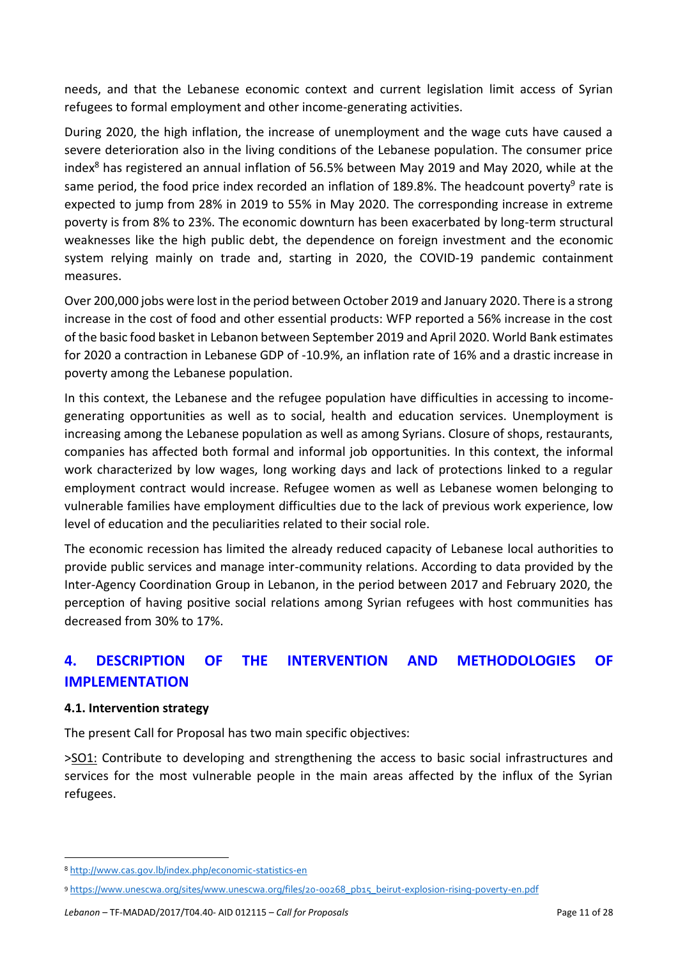needs, and that the Lebanese economic context and current legislation limit access of Syrian refugees to formal employment and other income-generating activities.

During 2020, the high inflation, the increase of unemployment and the wage cuts have caused a severe deterioration also in the living conditions of the Lebanese population. The consumer price index<sup>8</sup> has registered an annual inflation of 56.5% between May 2019 and May 2020, while at the same period, the food price index recorded an inflation of 189.8%. The headcount poverty<sup>9</sup> rate is expected to jump from 28% in 2019 to 55% in May 2020. The corresponding increase in extreme poverty is from 8% to 23%. The economic downturn has been exacerbated by long-term structural weaknesses like the high public debt, the dependence on foreign investment and the economic system relying mainly on trade and, starting in 2020, the COVID-19 pandemic containment measures.

Over 200,000 jobs were lost in the period between October 2019 and January 2020. There is a strong increase in the cost of food and other essential products: WFP reported a 56% increase in the cost of the basic food basket in Lebanon between September 2019 and April 2020. World Bank estimates for 2020 a contraction in Lebanese GDP of -10.9%, an inflation rate of 16% and a drastic increase in poverty among the Lebanese population.

In this context, the Lebanese and the refugee population have difficulties in accessing to incomegenerating opportunities as well as to social, health and education services. Unemployment is increasing among the Lebanese population as well as among Syrians. Closure of shops, restaurants, companies has affected both formal and informal job opportunities. In this context, the informal work characterized by low wages, long working days and lack of protections linked to a regular employment contract would increase. Refugee women as well as Lebanese women belonging to vulnerable families have employment difficulties due to the lack of previous work experience, low level of education and the peculiarities related to their social role.

The economic recession has limited the already reduced capacity of Lebanese local authorities to provide public services and manage inter-community relations. According to data provided by the Inter-Agency Coordination Group in Lebanon, in the period between 2017 and February 2020, the perception of having positive social relations among Syrian refugees with host communities has decreased from 30% to 17%.

# <span id="page-10-0"></span>**4. DESCRIPTION OF THE INTERVENTION AND METHODOLOGIES OF IMPLEMENTATION**

## **4.1. Intervention strategy**

**.** 

The present Call for Proposal has two main specific objectives:

>SO1: Contribute to developing and strengthening the access to basic social infrastructures and services for the most vulnerable people in the main areas affected by the influx of the Syrian refugees.

<sup>8</sup> <http://www.cas.gov.lb/index.php/economic-statistics-en>

<sup>9</sup> [https://www.unescwa.org/sites/www.unescwa.org/files/20-00268\\_pb15\\_beirut-explosion-rising-poverty-en.pdf](https://www.unescwa.org/sites/www.unescwa.org/files/20-00268_pb15_beirut-explosion-rising-poverty-en.pdf)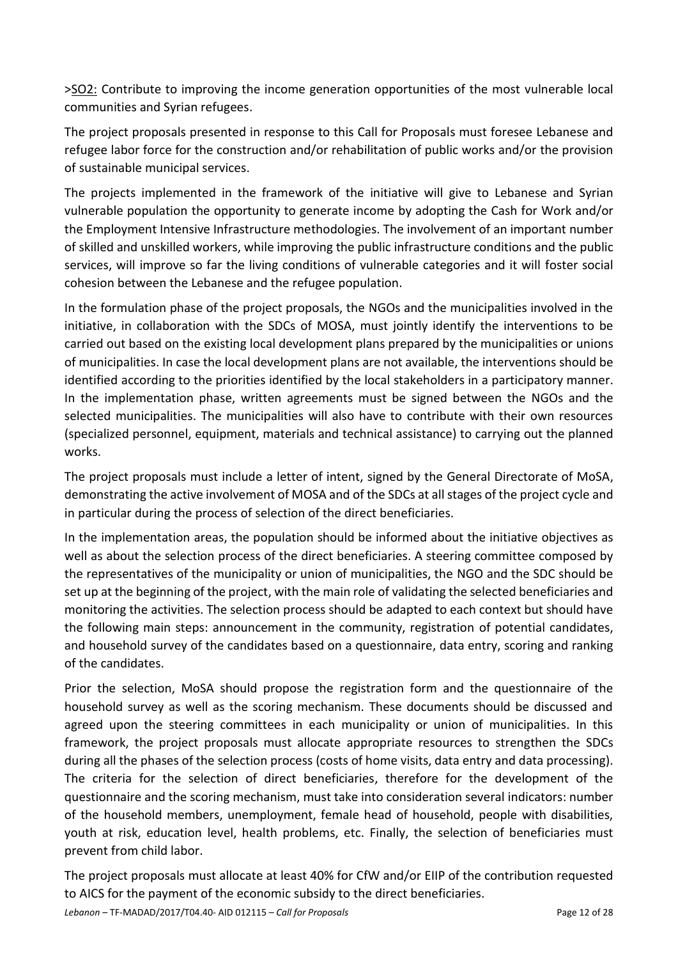>SO2: Contribute to improving the income generation opportunities of the most vulnerable local communities and Syrian refugees.

The project proposals presented in response to this Call for Proposals must foresee Lebanese and refugee labor force for the construction and/or rehabilitation of public works and/or the provision of sustainable municipal services.

The projects implemented in the framework of the initiative will give to Lebanese and Syrian vulnerable population the opportunity to generate income by adopting the Cash for Work and/or the Employment Intensive Infrastructure methodologies. The involvement of an important number of skilled and unskilled workers, while improving the public infrastructure conditions and the public services, will improve so far the living conditions of vulnerable categories and it will foster social cohesion between the Lebanese and the refugee population.

In the formulation phase of the project proposals, the NGOs and the municipalities involved in the initiative, in collaboration with the SDCs of MOSA, must jointly identify the interventions to be carried out based on the existing local development plans prepared by the municipalities or unions of municipalities. In case the local development plans are not available, the interventions should be identified according to the priorities identified by the local stakeholders in a participatory manner. In the implementation phase, written agreements must be signed between the NGOs and the selected municipalities. The municipalities will also have to contribute with their own resources (specialized personnel, equipment, materials and technical assistance) to carrying out the planned works.

The project proposals must include a letter of intent, signed by the General Directorate of MoSA, demonstrating the active involvement of MOSA and of the SDCs at all stages of the project cycle and in particular during the process of selection of the direct beneficiaries.

In the implementation areas, the population should be informed about the initiative objectives as well as about the selection process of the direct beneficiaries. A steering committee composed by the representatives of the municipality or union of municipalities, the NGO and the SDC should be set up at the beginning of the project, with the main role of validating the selected beneficiaries and monitoring the activities. The selection process should be adapted to each context but should have the following main steps: announcement in the community, registration of potential candidates, and household survey of the candidates based on a questionnaire, data entry, scoring and ranking of the candidates.

Prior the selection, MoSA should propose the registration form and the questionnaire of the household survey as well as the scoring mechanism. These documents should be discussed and agreed upon the steering committees in each municipality or union of municipalities. In this framework, the project proposals must allocate appropriate resources to strengthen the SDCs during all the phases of the selection process (costs of home visits, data entry and data processing). The criteria for the selection of direct beneficiaries, therefore for the development of the questionnaire and the scoring mechanism, must take into consideration several indicators: number of the household members, unemployment, female head of household, people with disabilities, youth at risk, education level, health problems, etc. Finally, the selection of beneficiaries must prevent from child labor.

The project proposals must allocate at least 40% for CfW and/or EIIP of the contribution requested to AICS for the payment of the economic subsidy to the direct beneficiaries.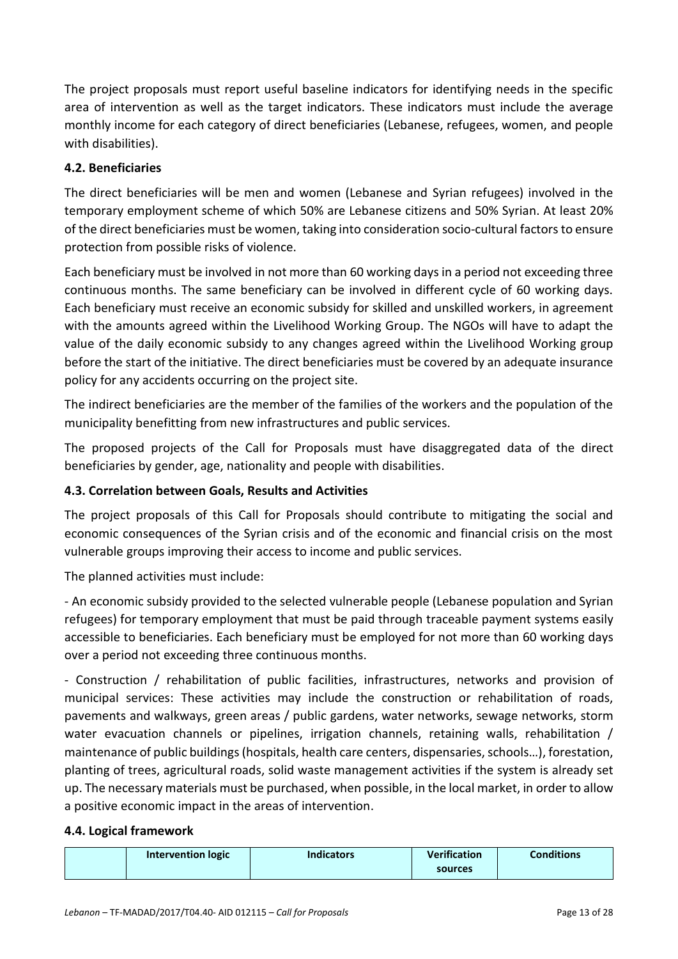The project proposals must report useful baseline indicators for identifying needs in the specific area of intervention as well as the target indicators. These indicators must include the average monthly income for each category of direct beneficiaries (Lebanese, refugees, women, and people with disabilities).

## **4.2. Beneficiaries**

The direct beneficiaries will be men and women (Lebanese and Syrian refugees) involved in the temporary employment scheme of which 50% are Lebanese citizens and 50% Syrian. At least 20% of the direct beneficiaries must be women, taking into consideration socio-cultural factors to ensure protection from possible risks of violence.

Each beneficiary must be involved in not more than 60 working days in a period not exceeding three continuous months. The same beneficiary can be involved in different cycle of 60 working days. Each beneficiary must receive an economic subsidy for skilled and unskilled workers, in agreement with the amounts agreed within the Livelihood Working Group. The NGOs will have to adapt the value of the daily economic subsidy to any changes agreed within the Livelihood Working group before the start of the initiative. The direct beneficiaries must be covered by an adequate insurance policy for any accidents occurring on the project site.

The indirect beneficiaries are the member of the families of the workers and the population of the municipality benefitting from new infrastructures and public services.

The proposed projects of the Call for Proposals must have disaggregated data of the direct beneficiaries by gender, age, nationality and people with disabilities.

## **4.3. Correlation between Goals, Results and Activities**

The project proposals of this Call for Proposals should contribute to mitigating the social and economic consequences of the Syrian crisis and of the economic and financial crisis on the most vulnerable groups improving their access to income and public services.

The planned activities must include:

- An economic subsidy provided to the selected vulnerable people (Lebanese population and Syrian refugees) for temporary employment that must be paid through traceable payment systems easily accessible to beneficiaries. Each beneficiary must be employed for not more than 60 working days over a period not exceeding three continuous months.

- Construction / rehabilitation of public facilities, infrastructures, networks and provision of municipal services: These activities may include the construction or rehabilitation of roads, pavements and walkways, green areas / public gardens, water networks, sewage networks, storm water evacuation channels or pipelines, irrigation channels, retaining walls, rehabilitation / maintenance of public buildings(hospitals, health care centers, dispensaries, schools…), forestation, planting of trees, agricultural roads, solid waste management activities if the system is already set up. The necessary materials must be purchased, when possible, in the local market, in order to allow a positive economic impact in the areas of intervention.

#### **4.4. Logical framework**

| Intervention logic | <b>Indicators</b> | <b>Verification</b> | <b>Conditions</b> |
|--------------------|-------------------|---------------------|-------------------|
|                    |                   | sources             |                   |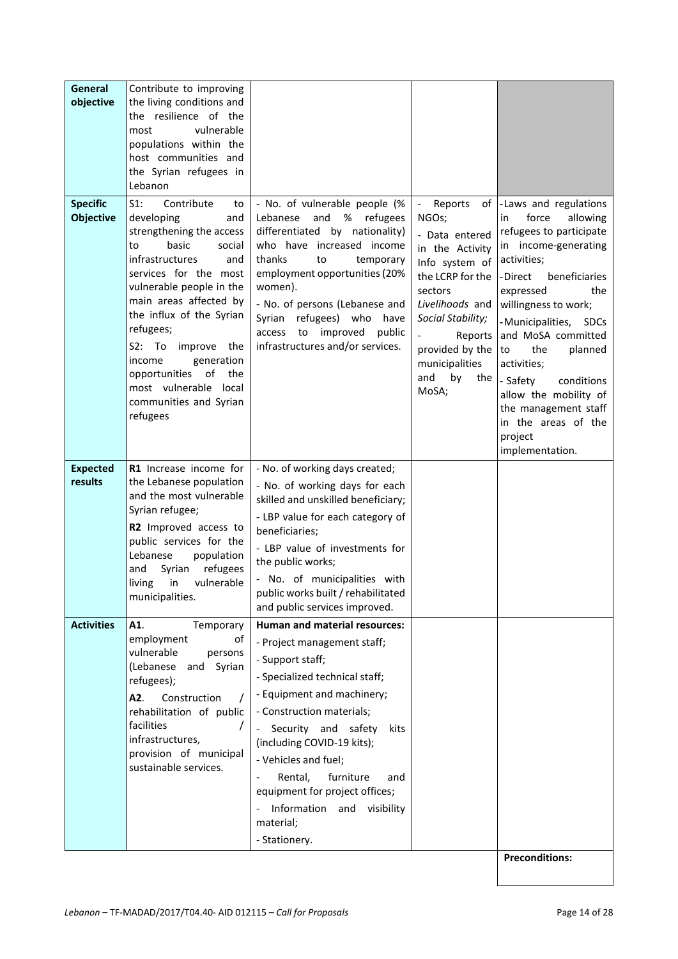| General<br>objective                | Contribute to improving<br>the living conditions and<br>the resilience of the<br>vulnerable<br>most<br>populations within the<br>host communities and<br>the Syrian refugees in<br>Lebanon                                                                                                                                                                                                             |                                                                                                                                                                                                                                                                                                                                                                                                                                |                                                                                                                                                                                                                                                                      |                                                                                                                                                                                                                                                                                                                                                                                                                    |
|-------------------------------------|--------------------------------------------------------------------------------------------------------------------------------------------------------------------------------------------------------------------------------------------------------------------------------------------------------------------------------------------------------------------------------------------------------|--------------------------------------------------------------------------------------------------------------------------------------------------------------------------------------------------------------------------------------------------------------------------------------------------------------------------------------------------------------------------------------------------------------------------------|----------------------------------------------------------------------------------------------------------------------------------------------------------------------------------------------------------------------------------------------------------------------|--------------------------------------------------------------------------------------------------------------------------------------------------------------------------------------------------------------------------------------------------------------------------------------------------------------------------------------------------------------------------------------------------------------------|
| <b>Specific</b><br><b>Objective</b> | $S1$ :<br>Contribute<br>to<br>developing<br>and<br>strengthening the access<br>basic<br>social<br>to<br>infrastructures<br>and<br>services for the most<br>vulnerable people in the<br>main areas affected by<br>the influx of the Syrian<br>refugees;<br>$S2:$ To<br>improve the<br>income<br>generation<br>of<br>opportunities<br>the<br>most vulnerable local<br>communities and Syrian<br>refugees | - No. of vulnerable people (%<br>Lebanese<br>and<br>%<br>refugees<br>differentiated by nationality)<br>who have increased income<br>thanks<br>to<br>temporary<br>employment opportunities (20%<br>women).<br>- No. of persons (Lebanese and<br>Syrian<br>refugees) who<br>have<br>improved<br>access<br>to<br>public<br>infrastructures and/or services.                                                                       | Reports<br>$\overline{\phantom{a}}$<br>οf<br>NGOs;<br>- Data entered<br>in the Activity<br>Info system of<br>the LCRP for the<br>sectors<br>Livelihoods and<br>Social Stability;<br>Reports<br>provided by the $ $ to<br>municipalities<br>and<br>by<br>the<br>MoSA; | -Laws and regulations<br>force<br>allowing<br><i>in</i><br>refugees to participate<br>in income-generating<br>activities;<br>- Direct<br>beneficiaries<br>the<br>expressed<br>willingness to work;<br>-Municipalities, SDCs<br>and MoSA committed<br>the<br>planned<br>activities;<br>- Safety<br>conditions<br>allow the mobility of<br>the management staff<br>in the areas of the<br>project<br>implementation. |
| <b>Expected</b><br>results          | R1 Increase income for<br>the Lebanese population<br>and the most vulnerable<br>Syrian refugee;<br>R2 Improved access to<br>public services for the<br>Lebanese<br>population<br>refugees<br>and<br>Syrian<br>living<br>in<br>vulnerable<br>municipalities.                                                                                                                                            | - No. of working days created;<br>- No. of working days for each<br>skilled and unskilled beneficiary;<br>- LBP value for each category of<br>beneficiaries;<br>- LBP value of investments for<br>the public works;<br>- No. of municipalities with<br>public works built / rehabilitated<br>and public services improved.                                                                                                     |                                                                                                                                                                                                                                                                      |                                                                                                                                                                                                                                                                                                                                                                                                                    |
| <b>Activities</b>                   | A1.<br>Temporary<br>employment<br>ot<br>vulnerable<br>persons<br>(Lebanese<br>and<br>Syrian<br>refugees);<br>A2.<br>Construction<br>rehabilitation of public<br>facilities<br>infrastructures,<br>provision of municipal<br>sustainable services.                                                                                                                                                      | Human and material resources:<br>- Project management staff;<br>- Support staff;<br>- Specialized technical staff;<br>- Equipment and machinery;<br>- Construction materials;<br>Security and<br>safety<br>kits<br>$\overline{\phantom{a}}$<br>(including COVID-19 kits);<br>- Vehicles and fuel;<br>Rental,<br>furniture<br>and<br>equipment for project offices;<br>Information and visibility<br>material;<br>- Stationery. |                                                                                                                                                                                                                                                                      |                                                                                                                                                                                                                                                                                                                                                                                                                    |
|                                     |                                                                                                                                                                                                                                                                                                                                                                                                        |                                                                                                                                                                                                                                                                                                                                                                                                                                |                                                                                                                                                                                                                                                                      | <b>Preconditions:</b>                                                                                                                                                                                                                                                                                                                                                                                              |

*Lebanon* – TF-MADAD/2017/T04.40- AID 012115 – *Call for Proposals* Page 14 of 28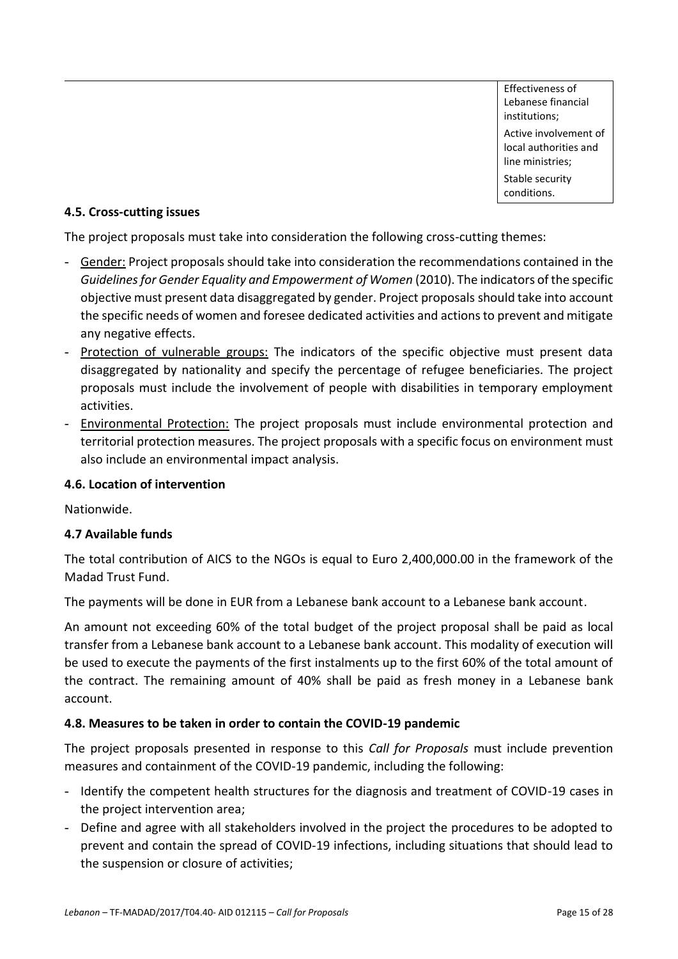Effectiveness of Lebanese financial institutions; Active involvement of local authorities and line ministries; Stable security conditions.

#### **4.5. Cross-cutting issues**

The project proposals must take into consideration the following cross-cutting themes:

- Gender: Project proposals should take into consideration the recommendations contained in the *Guidelines for Gender Equality and Empowerment of Women* (2010). The indicators of the specific objective must present data disaggregated by gender. Project proposals should take into account the specific needs of women and foresee dedicated activities and actions to prevent and mitigate any negative effects.
- Protection of vulnerable groups: The indicators of the specific objective must present data disaggregated by nationality and specify the percentage of refugee beneficiaries. The project proposals must include the involvement of people with disabilities in temporary employment activities.
- Environmental Protection: The project proposals must include environmental protection and territorial protection measures. The project proposals with a specific focus on environment must also include an environmental impact analysis.

#### **4.6. Location of intervention**

Nationwide.

#### **4.7 Available funds**

The total contribution of AICS to the NGOs is equal to Euro 2,400,000.00 in the framework of the Madad Trust Fund.

The payments will be done in EUR from a Lebanese bank account to a Lebanese bank account.

An amount not exceeding 60% of the total budget of the project proposal shall be paid as local transfer from a Lebanese bank account to a Lebanese bank account. This modality of execution will be used to execute the payments of the first instalments up to the first 60% of the total amount of the contract. The remaining amount of 40% shall be paid as fresh money in a Lebanese bank account.

#### **4.8. Measures to be taken in order to contain the COVID-19 pandemic**

The project proposals presented in response to this *Call for Proposals* must include prevention measures and containment of the COVID-19 pandemic, including the following:

- Identify the competent health structures for the diagnosis and treatment of COVID-19 cases in the project intervention area;
- Define and agree with all stakeholders involved in the project the procedures to be adopted to prevent and contain the spread of COVID-19 infections, including situations that should lead to the suspension or closure of activities;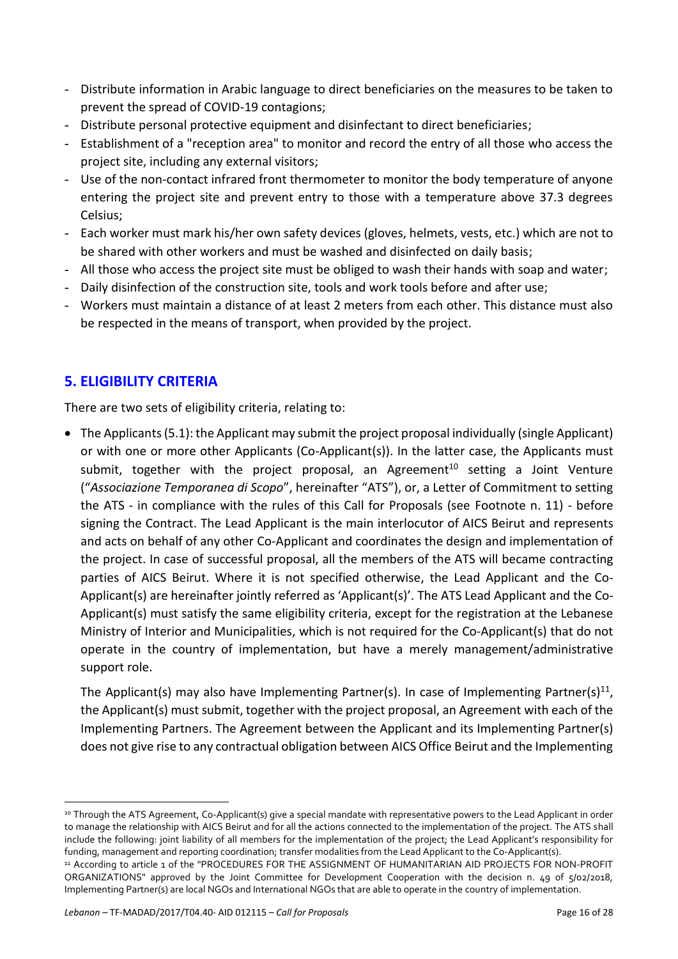- Distribute information in Arabic language to direct beneficiaries on the measures to be taken to prevent the spread of COVID-19 contagions;
- Distribute personal protective equipment and disinfectant to direct beneficiaries;
- Establishment of a "reception area" to monitor and record the entry of all those who access the project site, including any external visitors;
- Use of the non-contact infrared front thermometer to monitor the body temperature of anyone entering the project site and prevent entry to those with a temperature above 37.3 degrees Celsius;
- Each worker must mark his/her own safety devices (gloves, helmets, vests, etc.) which are not to be shared with other workers and must be washed and disinfected on daily basis;
- All those who access the project site must be obliged to wash their hands with soap and water;
- Daily disinfection of the construction site, tools and work tools before and after use;
- Workers must maintain a distance of at least 2 meters from each other. This distance must also be respected in the means of transport, when provided by the project.

# <span id="page-15-0"></span>**5. ELIGIBILITY CRITERIA**

**.** 

There are two sets of eligibility criteria, relating to:

• The Applicants (5.1): the Applicant may submit the project proposal individually (single Applicant) or with one or more other Applicants (Co-Applicant(s)). In the latter case, the Applicants must submit, together with the project proposal, an Agreement<sup>10</sup> setting a Joint Venture ("*Associazione Temporanea di Scopo*", hereinafter "ATS"), or, a Letter of Commitment to setting the ATS - in compliance with the rules of this Call for Proposals (see Footnote n. 11) - before signing the Contract. The Lead Applicant is the main interlocutor of AICS Beirut and represents and acts on behalf of any other Co-Applicant and coordinates the design and implementation of the project. In case of successful proposal, all the members of the ATS will became contracting parties of AICS Beirut. Where it is not specified otherwise, the Lead Applicant and the Co-Applicant(s) are hereinafter jointly referred as 'Applicant(s)'. The ATS Lead Applicant and the Co-Applicant(s) must satisfy the same eligibility criteria, except for the registration at the Lebanese Ministry of Interior and Municipalities, which is not required for the Co-Applicant(s) that do not operate in the country of implementation, but have a merely management/administrative support role.

The Applicant(s) may also have Implementing Partner(s). In case of Implementing Partner(s)<sup>11</sup>, the Applicant(s) must submit, together with the project proposal, an Agreement with each of the Implementing Partners. The Agreement between the Applicant and its Implementing Partner(s) does not give rise to any contractual obligation between AICS Office Beirut and the Implementing

<sup>10</sup> Through the ATS Agreement, Co-Applicant(s) give a special mandate with representative powers to the Lead Applicant in order to manage the relationship with AICS Beirut and for all the actions connected to the implementation of the project. The ATS shall include the following: joint liability of all members for the implementation of the project; the Lead Applicant's responsibility for funding, management and reporting coordination; transfer modalities from the Lead Applicant to the Co-Applicant(s).

<sup>&</sup>lt;sup>11</sup> According to article 1 of the "PROCEDURES FOR THE ASSIGNMENT OF HUMANITARIAN AID PROJECTS FOR NON-PROFIT ORGANIZATIONS" approved by the Joint Committee for Development Cooperation with the decision n. 49 of 5/02/2018, Implementing Partner(s) are local NGOs and International NGOs that are able to operate in the country of implementation.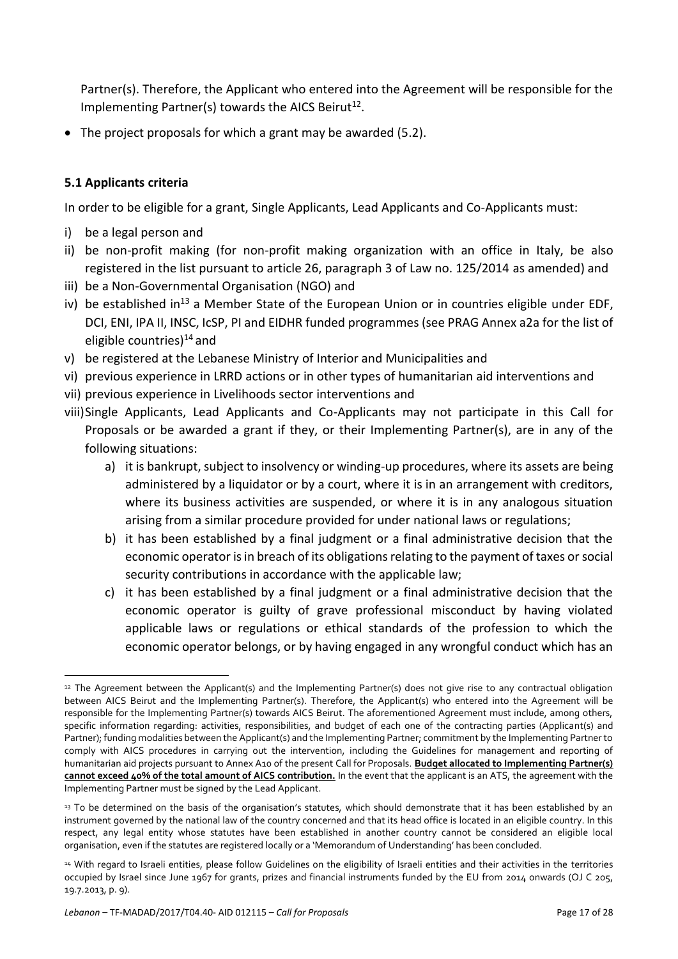Partner(s). Therefore, the Applicant who entered into the Agreement will be responsible for the Implementing Partner(s) towards the AICS Beirut<sup>12</sup>.

• The project proposals for which a grant may be awarded (5.2).

## <span id="page-16-0"></span>**5.1 Applicants criteria**

In order to be eligible for a grant, Single Applicants, Lead Applicants and Co-Applicants must:

- i) be a legal person and
- ii) be non-profit making (for non-profit making organization with an office in Italy, be also registered in the list pursuant to article 26, paragraph 3 of Law no. 125/2014 as amended) and
- iii) be a Non-Governmental Organisation (NGO) and
- iv) be established in<sup>13</sup> a Member State of the European Union or in countries eligible under EDF, DCI, ENI, IPA II, INSC, IcSP, PI and EIDHR funded programmes (see PRAG Annex a2a for the list of eligible countries) $14$  and
- v) be registered at the Lebanese Ministry of Interior and Municipalities and
- vi) previous experience in LRRD actions or in other types of humanitarian aid interventions and
- vii) previous experience in Livelihoods sector interventions and
- viii)Single Applicants, Lead Applicants and Co-Applicants may not participate in this Call for Proposals or be awarded a grant if they, or their Implementing Partner(s), are in any of the following situations:
	- a) it is bankrupt, subject to insolvency or winding-up procedures, where its assets are being administered by a liquidator or by a court, where it is in an arrangement with creditors, where its business activities are suspended, or where it is in any analogous situation arising from a similar procedure provided for under national laws or regulations;
	- b) it has been established by a final judgment or a final administrative decision that the economic operator is in breach of its obligations relating to the payment of taxes or social security contributions in accordance with the applicable law;
	- c) it has been established by a final judgment or a final administrative decision that the economic operator is guilty of grave professional misconduct by having violated applicable laws or regulations or ethical standards of the profession to which the economic operator belongs, or by having engaged in any wrongful conduct which has an

<sup>1</sup> 12 The Agreement between the Applicant(s) and the Implementing Partner(s) does not give rise to any contractual obligation between AICS Beirut and the Implementing Partner(s). Therefore, the Applicant(s) who entered into the Agreement will be responsible for the Implementing Partner(s) towards AICS Beirut. The aforementioned Agreement must include, among others, specific information regarding: activities, responsibilities, and budget of each one of the contracting parties (Applicant(s) and Partner); funding modalities between the Applicant(s) and the Implementing Partner; commitment by the Implementing Partner to comply with AICS procedures in carrying out the intervention, including the Guidelines for management and reporting of humanitarian aid projects pursuant to Annex A10 of the present Call for Proposals. **Budget allocated to Implementing Partner(s) cannot exceed 40% of the total amount of AICS contribution.** In the event that the applicant is an ATS, the agreement with the Implementing Partner must be signed by the Lead Applicant.

<sup>&</sup>lt;sup>13</sup> To be determined on the basis of the organisation's statutes, which should demonstrate that it has been established by an instrument governed by the national law of the country concerned and that its head office is located in an eligible country. In this respect, any legal entity whose statutes have been established in another country cannot be considered an eligible local organisation, even if the statutes are registered locally or a 'Memorandum of Understanding' has been concluded.

<sup>14</sup> With regard to Israeli entities, please follow Guidelines on the eligibility of Israeli entities and their activities in the territories occupied by Israel since June 1967 for grants, prizes and financial instruments funded by the EU from 2014 onwards (OJ C 205, 19.7.2013, p. 9).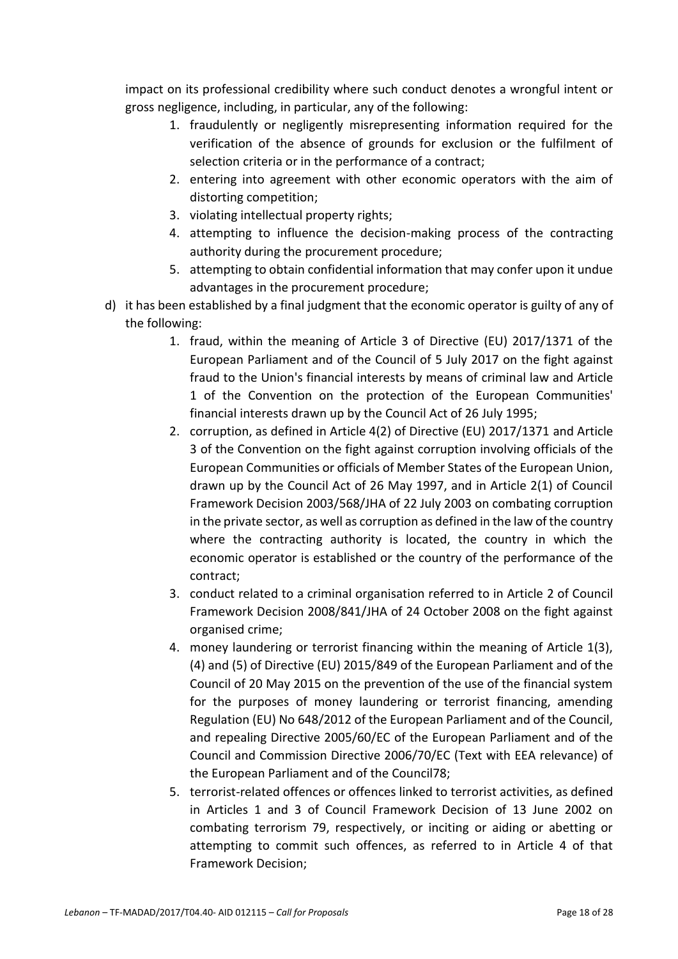impact on its professional credibility where such conduct denotes a wrongful intent or gross negligence, including, in particular, any of the following:

- 1. fraudulently or negligently misrepresenting information required for the verification of the absence of grounds for exclusion or the fulfilment of selection criteria or in the performance of a contract;
- 2. entering into agreement with other economic operators with the aim of distorting competition;
- 3. violating intellectual property rights;
- 4. attempting to influence the decision-making process of the contracting authority during the procurement procedure;
- 5. attempting to obtain confidential information that may confer upon it undue advantages in the procurement procedure;
- d) it has been established by a final judgment that the economic operator is guilty of any of the following:
	- 1. fraud, within the meaning of Article 3 of Directive (EU) 2017/1371 of the European Parliament and of the Council of 5 July 2017 on the fight against fraud to the Union's financial interests by means of criminal law and Article 1 of the Convention on the protection of the European Communities' financial interests drawn up by the Council Act of 26 July 1995;
	- 2. corruption, as defined in Article 4(2) of Directive (EU) 2017/1371 and Article 3 of the Convention on the fight against corruption involving officials of the European Communities or officials of Member States of the European Union, drawn up by the Council Act of 26 May 1997, and in Article 2(1) of Council Framework Decision 2003/568/JHA of 22 July 2003 on combating corruption in the private sector, as well as corruption as defined in the law of the country where the contracting authority is located, the country in which the economic operator is established or the country of the performance of the contract;
	- 3. conduct related to a criminal organisation referred to in Article 2 of Council Framework Decision 2008/841/JHA of 24 October 2008 on the fight against organised crime;
	- 4. money laundering or terrorist financing within the meaning of Article 1(3), (4) and (5) of Directive (EU) 2015/849 of the European Parliament and of the Council of 20 May 2015 on the prevention of the use of the financial system for the purposes of money laundering or terrorist financing, amending Regulation (EU) No 648/2012 of the European Parliament and of the Council, and repealing Directive 2005/60/EC of the European Parliament and of the Council and Commission Directive 2006/70/EC (Text with EEA relevance) of the European Parliament and of the Council78;
	- 5. terrorist-related offences or offences linked to terrorist activities, as defined in Articles 1 and 3 of Council Framework Decision of 13 June 2002 on combating terrorism 79, respectively, or inciting or aiding or abetting or attempting to commit such offences, as referred to in Article 4 of that Framework Decision;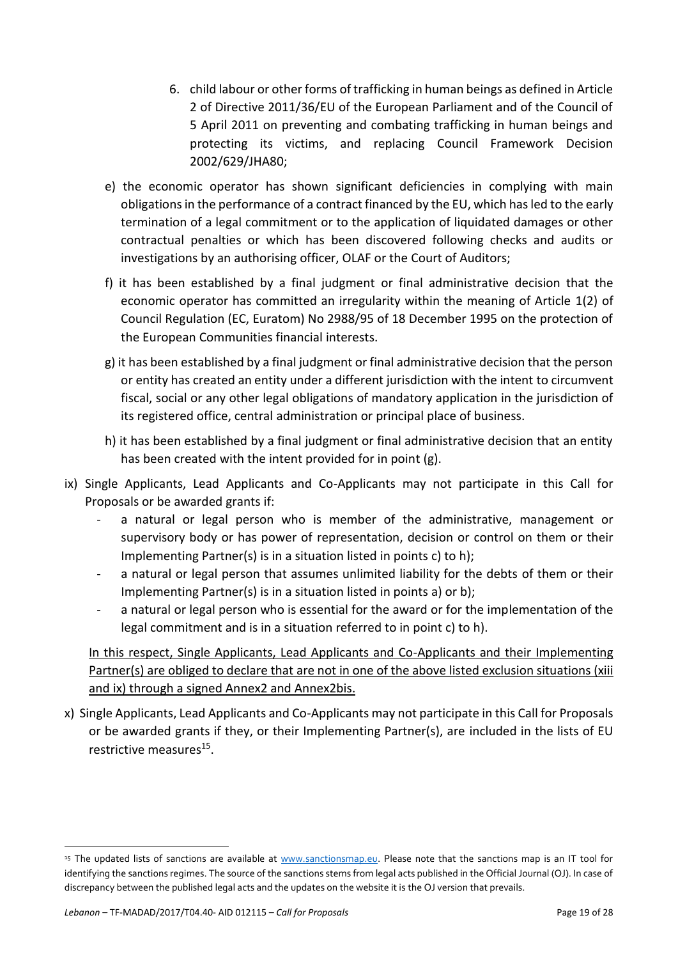- 6. child labour or other forms of trafficking in human beings as defined in Article 2 of Directive 2011/36/EU of the European Parliament and of the Council of 5 April 2011 on preventing and combating trafficking in human beings and protecting its victims, and replacing Council Framework Decision 2002/629/JHA80;
- e) the economic operator has shown significant deficiencies in complying with main obligations in the performance of a contract financed by the EU, which has led to the early termination of a legal commitment or to the application of liquidated damages or other contractual penalties or which has been discovered following checks and audits or investigations by an authorising officer, OLAF or the Court of Auditors;
- f) it has been established by a final judgment or final administrative decision that the economic operator has committed an irregularity within the meaning of Article 1(2) of Council Regulation (EC, Euratom) No 2988/95 of 18 December 1995 on the protection of the European Communities financial interests.
- g) it has been established by a final judgment or final administrative decision that the person or entity has created an entity under a different jurisdiction with the intent to circumvent fiscal, social or any other legal obligations of mandatory application in the jurisdiction of its registered office, central administration or principal place of business.
- h) it has been established by a final judgment or final administrative decision that an entity has been created with the intent provided for in point (g).
- ix) Single Applicants, Lead Applicants and Co-Applicants may not participate in this Call for Proposals or be awarded grants if:
	- a natural or legal person who is member of the administrative, management or supervisory body or has power of representation, decision or control on them or their Implementing Partner(s) is in a situation listed in points c) to h);
	- a natural or legal person that assumes unlimited liability for the debts of them or their Implementing Partner(s) is in a situation listed in points a) or b);
	- a natural or legal person who is essential for the award or for the implementation of the legal commitment and is in a situation referred to in point c) to h).

# In this respect, Single Applicants, Lead Applicants and Co-Applicants and their Implementing Partner(s) are obliged to declare that are not in one of the above listed exclusion situations (xiii and ix) through a signed Annex2 and Annex2bis.

x) Single Applicants, Lead Applicants and Co-Applicants may not participate in this Call for Proposals or be awarded grants if they, or their Implementing Partner(s), are included in the lists of EU restrictive measures<sup>15</sup>.

**.** 

<sup>15</sup> The updated lists of sanctions are available at [www.sanctionsmap.eu.](http://www.sanctionsmap.eu/) Please note that the sanctions map is an IT tool for identifying the sanctions regimes. The source of the sanctions stems from legal acts published in the Official Journal (OJ). In case of discrepancy between the published legal acts and the updates on the website it is the OJ version that prevails.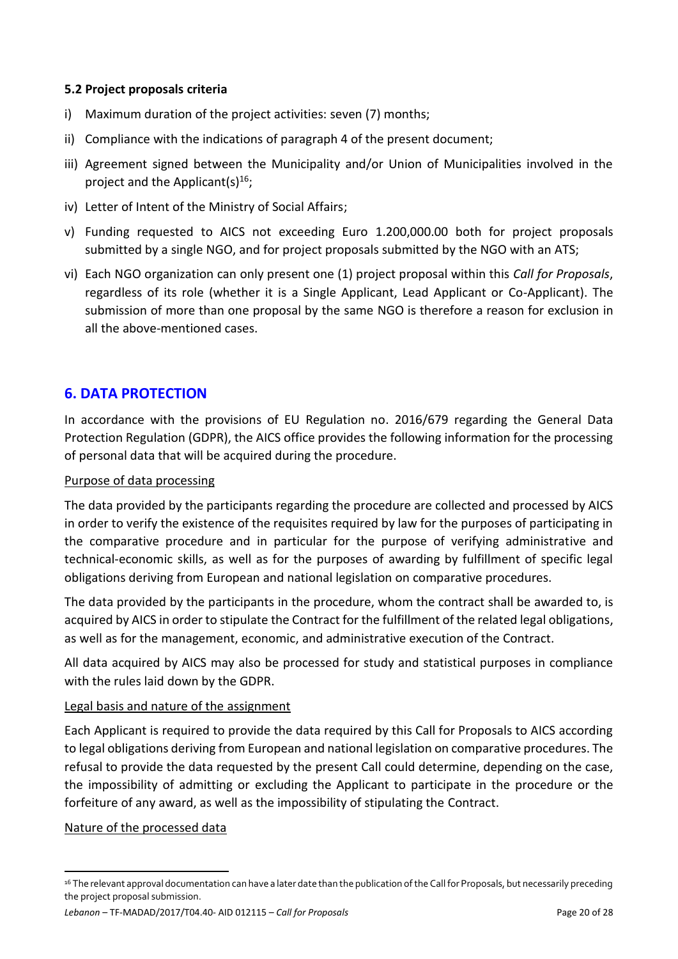### <span id="page-19-0"></span>**5.2 Project proposals criteria**

- i) Maximum duration of the project activities: seven (7) months;
- ii) Compliance with the indications of paragraph 4 of the present document;
- iii) Agreement signed between the Municipality and/or Union of Municipalities involved in the project and the Applicant(s) $16$ ;
- iv) Letter of Intent of the Ministry of Social Affairs;
- v) Funding requested to AICS not exceeding Euro 1.200,000.00 both for project proposals submitted by a single NGO, and for project proposals submitted by the NGO with an ATS;
- vi) Each NGO organization can only present one (1) project proposal within this *Call for Proposals*, regardless of its role (whether it is a Single Applicant, Lead Applicant or Co-Applicant). The submission of more than one proposal by the same NGO is therefore a reason for exclusion in all the above-mentioned cases.

# <span id="page-19-1"></span>**6. DATA PROTECTION**

In accordance with the provisions of EU Regulation no. 2016/679 regarding the General Data Protection Regulation (GDPR), the AICS office provides the following information for the processing of personal data that will be acquired during the procedure.

#### Purpose of data processing

The data provided by the participants regarding the procedure are collected and processed by AICS in order to verify the existence of the requisites required by law for the purposes of participating in the comparative procedure and in particular for the purpose of verifying administrative and technical-economic skills, as well as for the purposes of awarding by fulfillment of specific legal obligations deriving from European and national legislation on comparative procedures.

The data provided by the participants in the procedure, whom the contract shall be awarded to, is acquired by AICS in order to stipulate the Contract for the fulfillment of the related legal obligations, as well as for the management, economic, and administrative execution of the Contract.

All data acquired by AICS may also be processed for study and statistical purposes in compliance with the rules laid down by the GDPR.

#### Legal basis and nature of the assignment

Each Applicant is required to provide the data required by this Call for Proposals to AICS according to legal obligations deriving from European and national legislation on comparative procedures. The refusal to provide the data requested by the present Call could determine, depending on the case, the impossibility of admitting or excluding the Applicant to participate in the procedure or the forfeiture of any award, as well as the impossibility of stipulating the Contract.

#### Nature of the processed data

**.** 

<sup>&</sup>lt;sup>16</sup> The relevant approval documentation can have a later date than the publication of the Call for Proposals, but necessarily preceding the project proposal submission.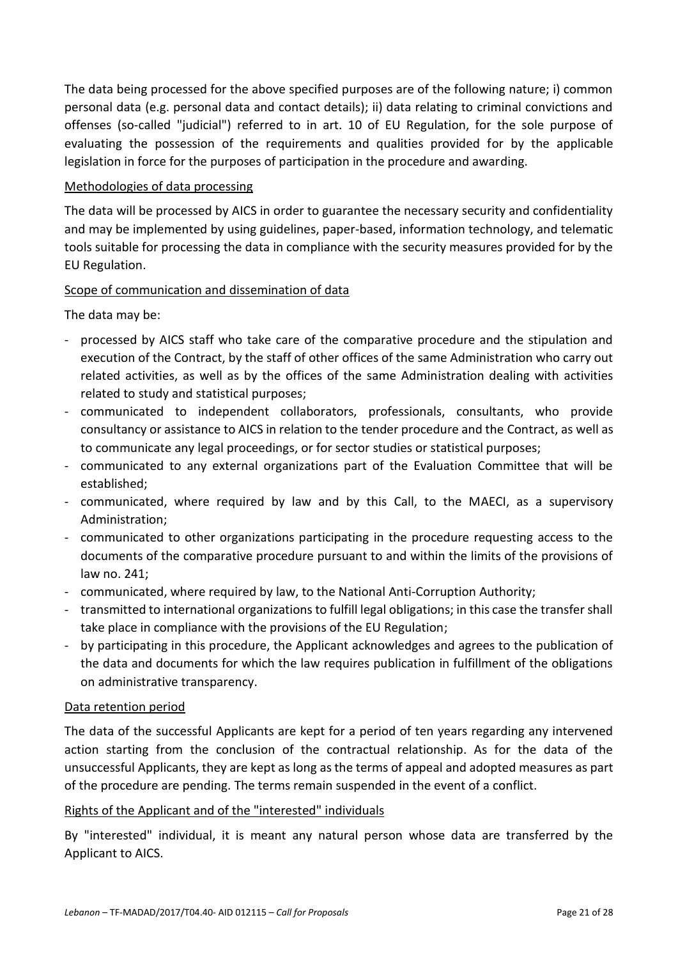The data being processed for the above specified purposes are of the following nature; i) common personal data (e.g. personal data and contact details); ii) data relating to criminal convictions and offenses (so-called "judicial") referred to in art. 10 of EU Regulation, for the sole purpose of evaluating the possession of the requirements and qualities provided for by the applicable legislation in force for the purposes of participation in the procedure and awarding.

### Methodologies of data processing

The data will be processed by AICS in order to guarantee the necessary security and confidentiality and may be implemented by using guidelines, paper-based, information technology, and telematic tools suitable for processing the data in compliance with the security measures provided for by the EU Regulation.

### Scope of communication and dissemination of data

The data may be:

- processed by AICS staff who take care of the comparative procedure and the stipulation and execution of the Contract, by the staff of other offices of the same Administration who carry out related activities, as well as by the offices of the same Administration dealing with activities related to study and statistical purposes;
- communicated to independent collaborators, professionals, consultants, who provide consultancy or assistance to AICS in relation to the tender procedure and the Contract, as well as to communicate any legal proceedings, or for sector studies or statistical purposes;
- communicated to any external organizations part of the Evaluation Committee that will be established;
- communicated, where required by law and by this Call, to the MAECI, as a supervisory Administration;
- communicated to other organizations participating in the procedure requesting access to the documents of the comparative procedure pursuant to and within the limits of the provisions of law no. 241;
- communicated, where required by law, to the National Anti-Corruption Authority;
- transmitted to international organizations to fulfill legal obligations; in this case the transfer shall take place in compliance with the provisions of the EU Regulation;
- by participating in this procedure, the Applicant acknowledges and agrees to the publication of the data and documents for which the law requires publication in fulfillment of the obligations on administrative transparency.

#### Data retention period

The data of the successful Applicants are kept for a period of ten years regarding any intervened action starting from the conclusion of the contractual relationship. As for the data of the unsuccessful Applicants, they are kept as long as the terms of appeal and adopted measures as part of the procedure are pending. The terms remain suspended in the event of a conflict.

#### Rights of the Applicant and of the "interested" individuals

By "interested" individual, it is meant any natural person whose data are transferred by the Applicant to AICS.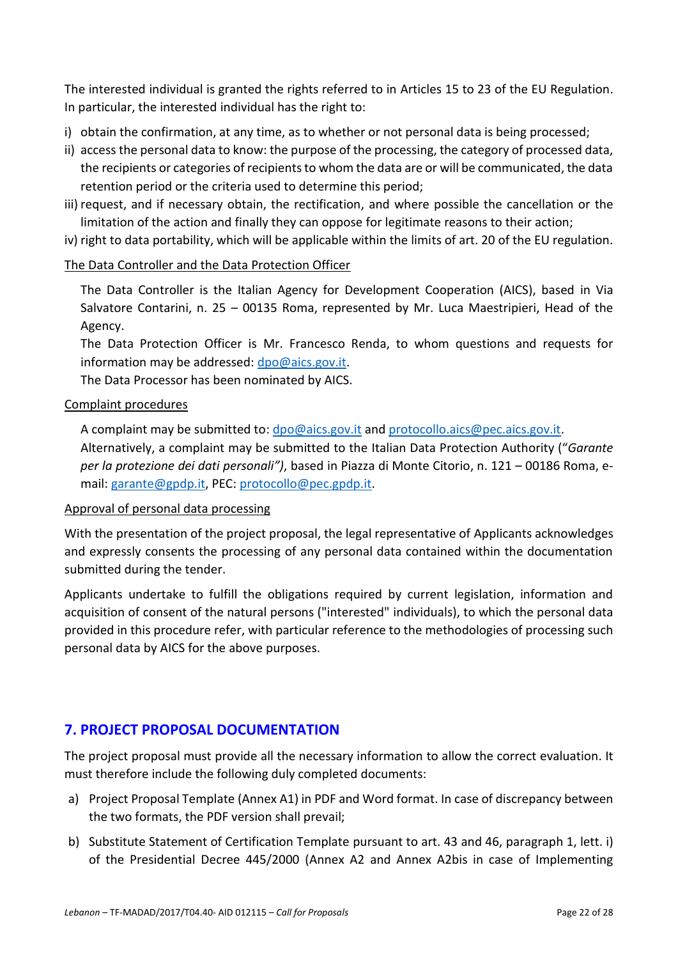The interested individual is granted the rights referred to in Articles 15 to 23 of the EU Regulation. In particular, the interested individual has the right to:

- i) obtain the confirmation, at any time, as to whether or not personal data is being processed;
- ii) access the personal data to know: the purpose of the processing, the category of processed data, the recipients or categories of recipients to whom the data are or will be communicated, the data retention period or the criteria used to determine this period;
- iii) request, and if necessary obtain, the rectification, and where possible the cancellation or the limitation of the action and finally they can oppose for legitimate reasons to their action;
- iv) right to data portability, which will be applicable within the limits of art. 20 of the EU regulation.

### The Data Controller and the Data Protection Officer

The Data Controller is the Italian Agency for Development Cooperation (AICS), based in Via Salvatore Contarini, n. 25 – 00135 Roma, represented by Mr. Luca Maestripieri, Head of the Agency.

The Data Protection Officer is Mr. Francesco Renda, to whom questions and requests for information may be addressed: [dpo@aics.gov.it.](mailto:dpo@aics.gov.it)

The Data Processor has been nominated by AICS.

#### Complaint procedures

A complaint may be submitted to: [dpo@aics.gov.it](mailto:dpo@aics.gov.it) and [protocollo.aics@pec.aics.gov.it.](mailto:protocollo.aics@pec.aics.gov.it) Alternatively, a complaint may be submitted to the Italian Data Protection Authority ("*Garante per la protezione dei dati personali")*, based in Piazza di Monte Citorio, n. 121 – 00186 Roma, email: [garante@gpdp.it,](mailto:garante@gpdp.it) PEC: [protocollo@pec.gpdp.it.](mailto:protocollo@pec.gpdp.it)

#### Approval of personal data processing

With the presentation of the project proposal, the legal representative of Applicants acknowledges and expressly consents the processing of any personal data contained within the documentation submitted during the tender.

Applicants undertake to fulfill the obligations required by current legislation, information and acquisition of consent of the natural persons ("interested" individuals), to which the personal data provided in this procedure refer, with particular reference to the methodologies of processing such personal data by AICS for the above purposes.

## <span id="page-21-0"></span>**7. PROJECT PROPOSAL DOCUMENTATION**

The project proposal must provide all the necessary information to allow the correct evaluation. It must therefore include the following duly completed documents:

- a) Project Proposal Template (Annex A1) in PDF and Word format. In case of discrepancy between the two formats, the PDF version shall prevail;
- b) Substitute Statement of Certification Template pursuant to art. 43 and 46, paragraph 1, lett. i) of the Presidential Decree 445/2000 (Annex A2 and Annex A2bis in case of Implementing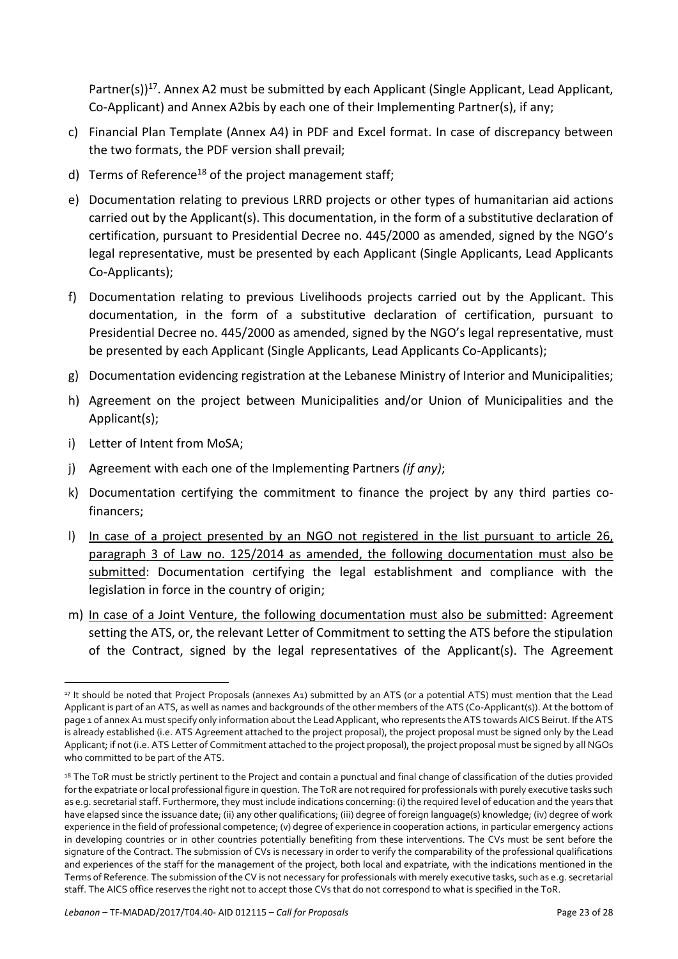Partner(s))<sup>17</sup>. Annex A2 must be submitted by each Applicant (Single Applicant, Lead Applicant, Co-Applicant) and Annex A2bis by each one of their Implementing Partner(s), if any;

- c) Financial Plan Template (Annex A4) in PDF and Excel format. In case of discrepancy between the two formats, the PDF version shall prevail;
- d) Terms of Reference<sup>18</sup> of the project management staff;
- e) Documentation relating to previous LRRD projects or other types of humanitarian aid actions carried out by the Applicant(s). This documentation, in the form of a substitutive declaration of certification, pursuant to Presidential Decree no. 445/2000 as amended, signed by the NGO's legal representative, must be presented by each Applicant (Single Applicants, Lead Applicants Co-Applicants);
- f) Documentation relating to previous Livelihoods projects carried out by the Applicant. This documentation, in the form of a substitutive declaration of certification, pursuant to Presidential Decree no. 445/2000 as amended, signed by the NGO's legal representative, must be presented by each Applicant (Single Applicants, Lead Applicants Co-Applicants);
- g) Documentation evidencing registration at the Lebanese Ministry of Interior and Municipalities;
- h) Agreement on the project between Municipalities and/or Union of Municipalities and the Applicant(s);
- i) Letter of Intent from MoSA;
- j) Agreement with each one of the Implementing Partners *(if any)*;
- k) Documentation certifying the commitment to finance the project by any third parties cofinancers;
- I) In case of a project presented by an NGO not registered in the list pursuant to article 26, paragraph 3 of Law no. 125/2014 as amended, the following documentation must also be submitted: Documentation certifying the legal establishment and compliance with the legislation in force in the country of origin;
- m) In case of a Joint Venture, the following documentation must also be submitted: Agreement setting the ATS, or, the relevant Letter of Commitment to setting the ATS before the stipulation of the Contract, signed by the legal representatives of the Applicant(s). The Agreement

<sup>1</sup> <sup>17</sup> It should be noted that Project Proposals (annexes A1) submitted by an ATS (or a potential ATS) must mention that the Lead Applicant is part of an ATS, as well as names and backgrounds of the other members of the ATS (Co-Applicant(s)). At the bottom of page 1 of annex A1 must specify only information about the Lead Applicant, who represents the ATS towards AICS Beirut. If the ATS is already established (i.e. ATS Agreement attached to the project proposal), the project proposal must be signed only by the Lead Applicant; if not (i.e. ATS Letter of Commitment attached to the project proposal), the project proposal must be signed by all NGOs who committed to be part of the ATS.

<sup>&</sup>lt;sup>18</sup> The ToR must be strictly pertinent to the Project and contain a punctual and final change of classification of the duties provided for the expatriate or local professional figure in question. The ToR are not required for professionals with purely executive tasks such as e.g. secretarial staff. Furthermore, they must include indications concerning: (i) the required level of education and the years that have elapsed since the issuance date; (ii) any other qualifications; (iii) degree of foreign language(s) knowledge; (iv) degree of work experience in the field of professional competence; (v) degree of experience in cooperation actions, in particular emergency actions in developing countries or in other countries potentially benefiting from these interventions. The CVs must be sent before the signature of the Contract. The submission of CVs is necessary in order to verify the comparability of the professional qualifications and experiences of the staff for the management of the project, both local and expatriate, with the indications mentioned in the Terms of Reference. The submission of the CV is not necessary for professionals with merely executive tasks, such as e.g. secretarial staff. The AICS office reserves the right not to accept those CVs that do not correspond to what is specified in the ToR.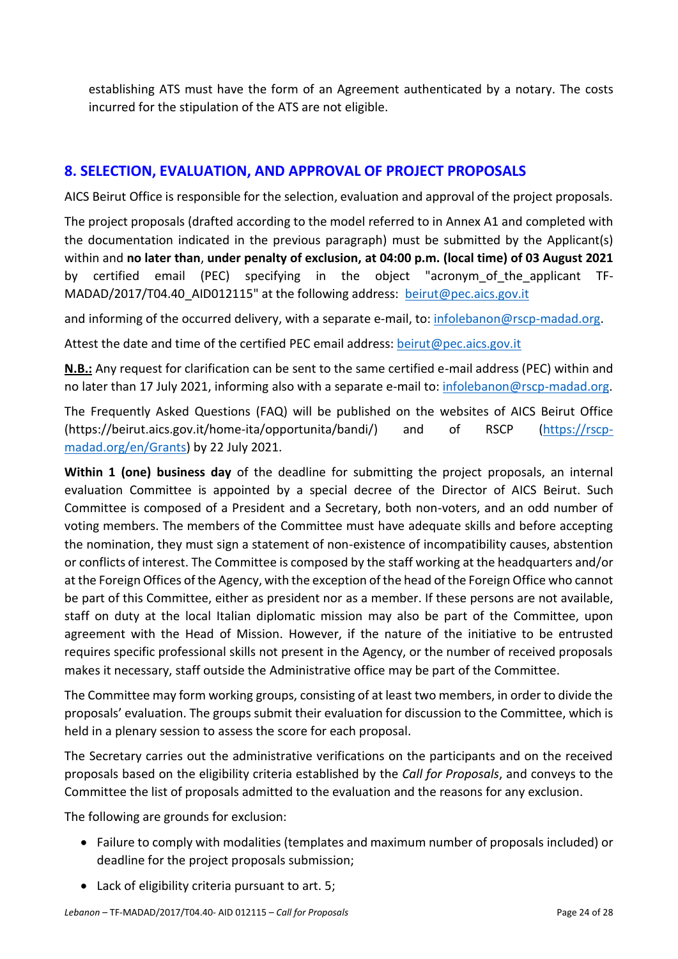establishing ATS must have the form of an Agreement authenticated by a notary. The costs incurred for the stipulation of the ATS are not eligible.

# <span id="page-23-0"></span>**8. SELECTION, EVALUATION, AND APPROVAL OF PROJECT PROPOSALS**

AICS Beirut Office is responsible for the selection, evaluation and approval of the project proposals.

The project proposals (drafted according to the model referred to in Annex A1 and completed with the documentation indicated in the previous paragraph) must be submitted by the Applicant(s) within and **no later than**, **under penalty of exclusion, at 04:00 p.m. (local time) of 03 August 2021** by certified email (PEC) specifying in the object "acronym\_of\_the\_applicant TFMADAD/2017/T04.40 AID012115" at the following address: beiru[t@pec.aics.gov.it](mailto:@pec.aics.gov.it)

and informing of the occurred delivery, with a separate e-mail, to: [infolebanon@rscp-madad.org.](mailto:infolebanon@rscp-madad.org)

Attest the date and time of the certified PEC email address: beiru[t@pec.aics.gov.it](mailto:@pec.aics.gov.it)

**N.B.:** Any request for clarification can be sent to the same certified e-mail address (PEC) within and no later than 17 July 2021, informing also with a separate e-mail to: [infolebanon@rscp-madad.org.](mailto:infolebanon@rscp-madad.org)

The Frequently Asked Questions (FAQ) will be published on the websites of AICS Beirut Office (https://beirut.aics.gov.it/home-ita/opportunita/bandi/) and of RSCP [\(https://rscp](https://rscp-madad.org/en/Grants)[madad.org/en/Grants\)](https://rscp-madad.org/en/Grants) by 22 July 2021.

**Within 1 (one) business day** of the deadline for submitting the project proposals, an internal evaluation Committee is appointed by a special decree of the Director of AICS Beirut. Such Committee is composed of a President and a Secretary, both non-voters, and an odd number of voting members. The members of the Committee must have adequate skills and before accepting the nomination, they must sign a statement of non-existence of incompatibility causes, abstention or conflicts of interest. The Committee is composed by the staff working at the headquarters and/or at the Foreign Offices of the Agency, with the exception of the head of the Foreign Office who cannot be part of this Committee, either as president nor as a member. If these persons are not available, staff on duty at the local Italian diplomatic mission may also be part of the Committee, upon agreement with the Head of Mission. However, if the nature of the initiative to be entrusted requires specific professional skills not present in the Agency, or the number of received proposals makes it necessary, staff outside the Administrative office may be part of the Committee.

The Committee may form working groups, consisting of at least two members, in order to divide the proposals' evaluation. The groups submit their evaluation for discussion to the Committee, which is held in a plenary session to assess the score for each proposal.

The Secretary carries out the administrative verifications on the participants and on the received proposals based on the eligibility criteria established by the *Call for Proposals*, and conveys to the Committee the list of proposals admitted to the evaluation and the reasons for any exclusion.

The following are grounds for exclusion:

- Failure to comply with modalities (templates and maximum number of proposals included) or deadline for the project proposals submission;
- Lack of eligibility criteria pursuant to art. 5;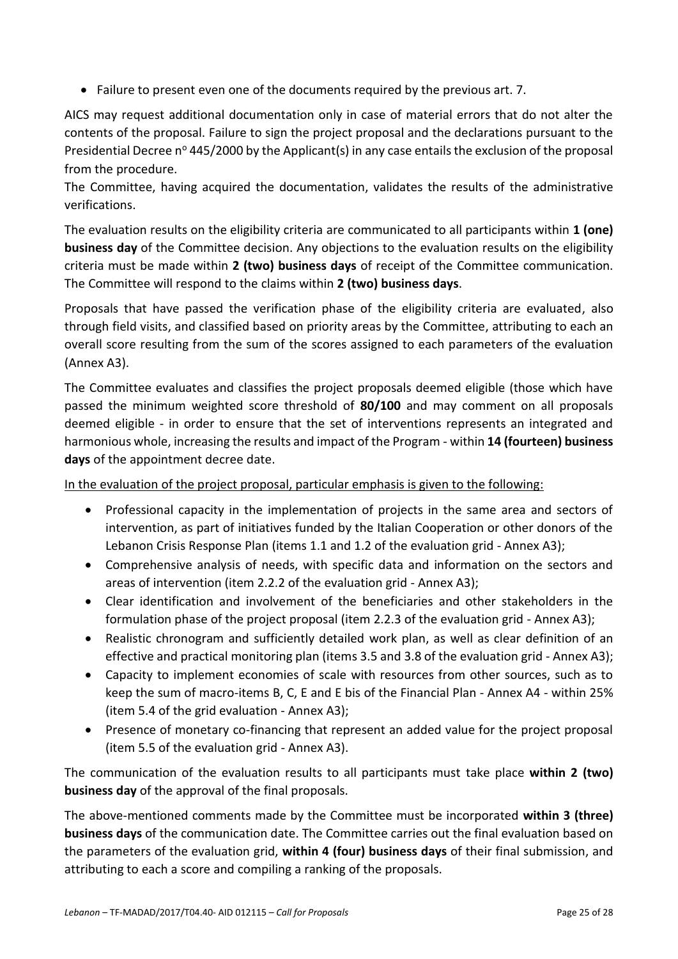• Failure to present even one of the documents required by the previous art. 7.

AICS may request additional documentation only in case of material errors that do not alter the contents of the proposal. Failure to sign the project proposal and the declarations pursuant to the Presidential Decree n<sup>o</sup> 445/2000 by the Applicant(s) in any case entails the exclusion of the proposal from the procedure.

The Committee, having acquired the documentation, validates the results of the administrative verifications.

The evaluation results on the eligibility criteria are communicated to all participants within **1 (one) business day** of the Committee decision. [Any](https://context.reverso.net/traduzione/inglese-italiano/in+the+event+of+disputes) objections to the evaluation results on the eligibility criteria must be made within **2 (two) business days** of receipt of the Committee communication. The Committee will respond to the claims within **2 (two) business days**.

Proposals that have passed the verification phase of the eligibility criteria are evaluated, also through field visits, and classified based on priority areas by the Committee, attributing to each an overall score resulting from the sum of the scores assigned to each parameters of the evaluation (Annex A3).

The Committee evaluates and classifies the project proposals deemed eligible (those which have passed the minimum weighted score threshold of **80/100** and may comment on all proposals deemed eligible - in order to ensure that the set of interventions represents an integrated and harmonious whole, increasing the results and impact of the Program - within **14 (fourteen) business days** of the appointment decree date.

In the evaluation of the project proposal, particular emphasis is given to the following:

- Professional capacity in the implementation of projects in the same area and sectors of intervention, as part of initiatives funded by the Italian Cooperation or other donors of the Lebanon Crisis Response Plan (items 1.1 and 1.2 of the evaluation grid - Annex A3);
- Comprehensive analysis of needs, with specific data and information on the sectors and areas of intervention (item 2.2.2 of the evaluation grid - Annex A3);
- Clear identification and involvement of the beneficiaries and other stakeholders in the formulation phase of the project proposal (item 2.2.3 of the evaluation grid - Annex A3);
- Realistic chronogram and sufficiently detailed work plan, as well as clear definition of an effective and practical monitoring plan (items 3.5 and 3.8 of the evaluation grid - Annex A3);
- Capacity to implement economies of scale with resources from other sources, such as to keep the sum of macro-items B, C, E and E bis of the Financial Plan - Annex A4 - within 25% (item 5.4 of the grid evaluation - Annex A3);
- Presence of monetary co-financing that represent an added value for the project proposal (item 5.5 of the evaluation grid - Annex A3).

The communication of the evaluation results to all participants must take place **within 2 (two) business day** of the approval of the final proposals.

The above-mentioned comments made by the Committee must be incorporated **within 3 (three) business days** of the communication date. The Committee carries out the final evaluation based on the parameters of the evaluation grid, **within 4 (four) business days** of their final submission, and attributing to each a score and compiling a ranking of the proposals.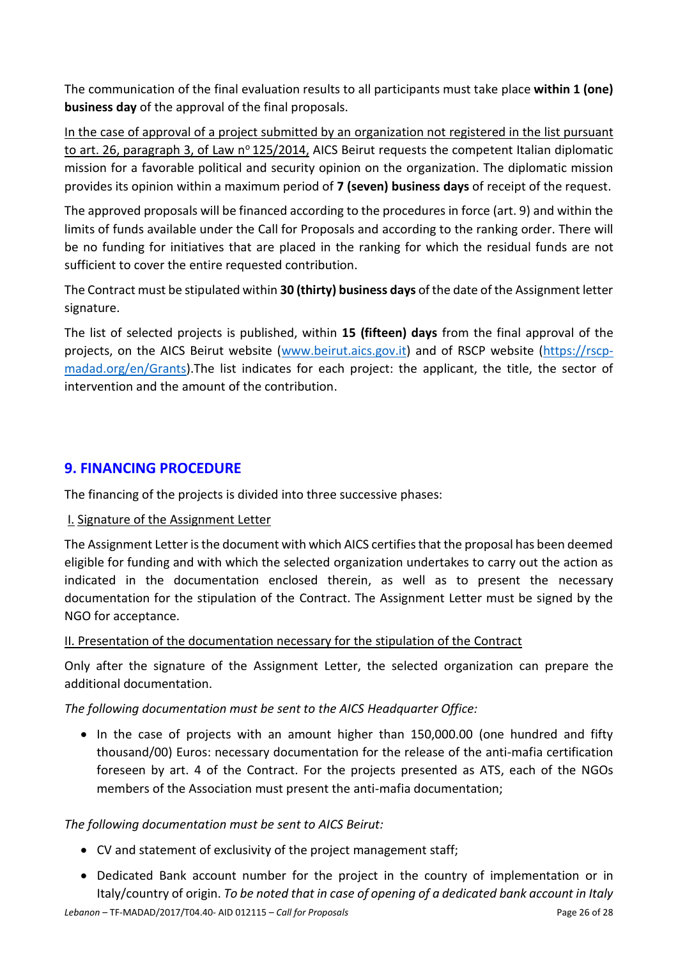The communication of the final evaluation results to all participants must take place **within 1 (one) business day** of the approval of the final proposals.

In the case of approval of a project submitted by an organization not registered in the list pursuant to art. 26, paragraph 3, of Law  $n^{\circ}$  125/2014, AICS Beirut requests the competent Italian diplomatic mission for a favorable political and security opinion on the organization. The diplomatic mission provides its opinion within a maximum period of **7 (seven) business days** of receipt of the request.

The approved proposals will be financed according to the procedures in force (art. 9) and within the limits of funds available under the Call for Proposals and according to the ranking order. There will be no funding for initiatives that are placed in the ranking for which the residual funds are not sufficient to cover the entire requested contribution.

The Contract must be stipulated within **30 (thirty) business days** of the date of the Assignment letter signature.

The list of selected projects is published, within **15 (fifteen) days** from the final approval of the projects, on the AICS Beirut website [\(www.beirut.aics.gov.it\)](http://www.beirut.aics.gov.it/) and of RSCP website [\(https://rscp](https://rscp-madad.org/en/Grants)[madad.org/en/Grants\)](https://rscp-madad.org/en/Grants).The list indicates for each project: the applicant, the title, the sector of intervention and the amount of the contribution.

# <span id="page-25-0"></span>**9. FINANCING PROCEDURE**

The financing of the projects is divided into three successive phases:

## I. Signature of the Assignment Letter

The Assignment Letter is the document with which AICS certifies that the proposal has been deemed eligible for funding and with which the selected organization undertakes to carry out the action as indicated in the documentation enclosed therein, as well as to present the necessary documentation for the stipulation of the Contract. The Assignment Letter must be signed by the NGO for acceptance.

## II. Presentation of the documentation necessary for the stipulation of the Contract

Only after the signature of the Assignment Letter, the selected organization can prepare the additional documentation.

*The following documentation must be sent to the AICS Headquarter Office:*

• In the case of projects with an amount higher than 150,000.00 (one hundred and fifty thousand/00) Euros: necessary documentation for the release of the anti-mafia certification foreseen by art. 4 of the Contract. For the projects presented as ATS, each of the NGOs members of the Association must present the anti-mafia documentation;

## *The following documentation must be sent to AICS Beirut:*

- CV and statement of exclusivity of the project management staff;
- Dedicated Bank account number for the project in the country of implementation or in Italy/country of origin. *To be noted that in case of opening of a dedicated bank account in Italy*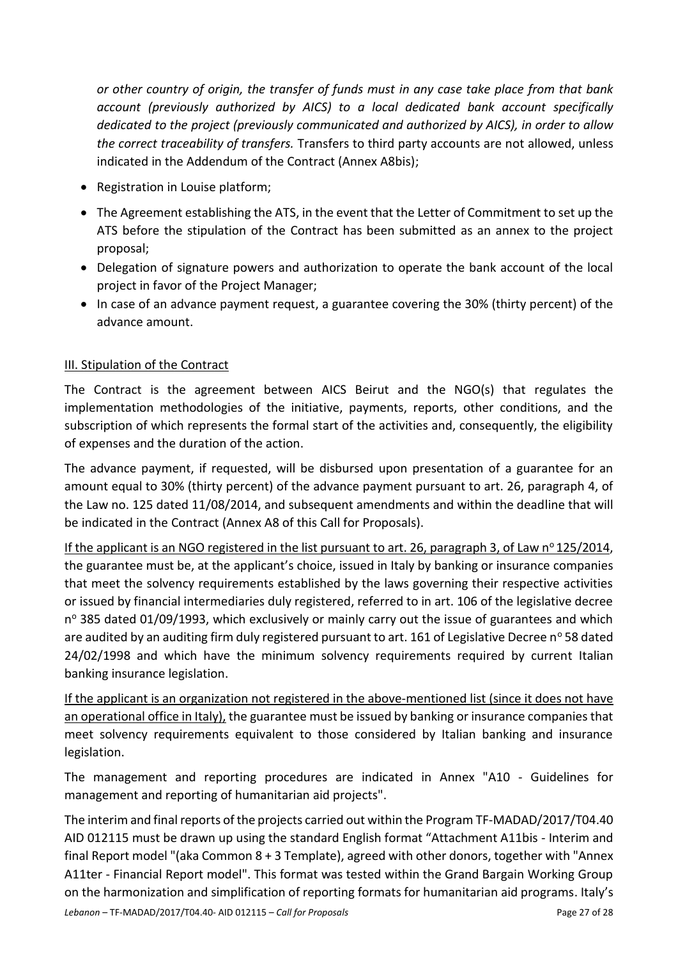*or other country of origin, the transfer of funds must in any case take place from that bank account (previously authorized by AICS) to a local dedicated bank account specifically dedicated to the project (previously communicated and authorized by AICS), in order to allow the correct traceability of transfers.* Transfers to third party accounts are not allowed, unless indicated in the Addendum of the Contract (Annex A8bis);

- Registration in Louise platform;
- The Agreement establishing the ATS, in the event that the Letter of Commitment to set up the ATS before the stipulation of the Contract has been submitted as an annex to the project proposal;
- Delegation of signature powers and authorization to operate the bank account of the local project in favor of the Project Manager;
- In case of an advance payment request, a guarantee covering the 30% (thirty percent) of the advance amount.

## III. Stipulation of the Contract

The Contract is the agreement between AICS Beirut and the NGO(s) that regulates the implementation methodologies of the initiative, payments, reports, other conditions, and the subscription of which represents the formal start of the activities and, consequently, the eligibility of expenses and the duration of the action.

The advance payment, if requested, will be disbursed upon presentation of a guarantee for an amount equal to 30% (thirty percent) of the advance payment pursuant to art. 26, paragraph 4, of the Law no. 125 dated 11/08/2014, and subsequent amendments and within the deadline that will be indicated in the Contract (Annex A8 of this Call for Proposals).

If the applicant is an NGO registered in the list pursuant to art. 26, paragraph 3, of Law  $n^{\circ}$  125/2014, the guarantee must be, at the applicant's choice, issued in Italy by banking or insurance companies that meet the solvency requirements established by the laws governing their respective activities or issued by financial intermediaries duly registered, referred to in art. 106 of the legislative decree n<sup>o</sup> 385 dated 01/09/1993, which exclusively or mainly carry out the issue of guarantees and which are audited by an auditing firm duly registered pursuant to art. 161 of Legislative Decree n<sup>o</sup> 58 dated 24/02/1998 and which have the minimum solvency requirements required by current Italian banking insurance legislation.

If the applicant is an organization not registered in the above-mentioned list (since it does not have an operational office in Italy), the guarantee must be issued by banking or insurance companies that meet solvency requirements equivalent to those considered by Italian banking and insurance legislation.

The management and reporting procedures are indicated in Annex "A10 - Guidelines for management and reporting of humanitarian aid projects".

The interim and final reports of the projects carried out within the Program TF-MADAD/2017/T04.40 AID 012115 must be drawn up using the standard English format "Attachment A11bis - Interim and final Report model "(aka Common 8 + 3 Template), agreed with other donors, together with "Annex A11ter - Financial Report model". This format was tested within the Grand Bargain Working Group on the harmonization and simplification of reporting formats for humanitarian aid programs. Italy's